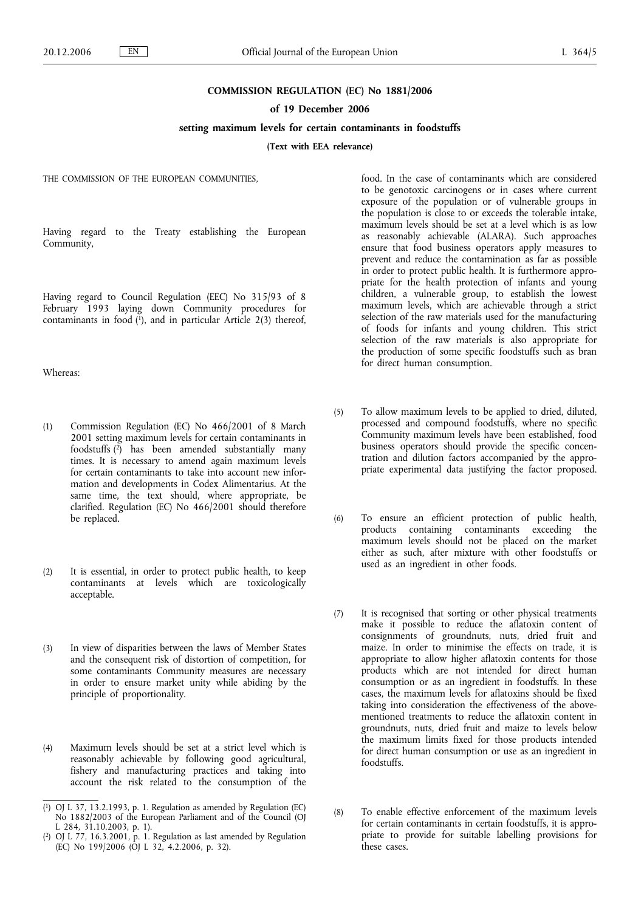### **COMMISSION REGULATION (EC) No 1881/2006**

### **of 19 December 2006**

# **setting maximum levels for certain contaminants in foodstuffs**

**(Text with EEA relevance)**

THE COMMISSION OF THE EUROPEAN COMMUNITIES,

Having regard to the Treaty establishing the European Community,

Having regard to Council Regulation (EEC) No 315/93 of 8 February 1993 laying down Community procedures for contaminants in food  $(1)$ , and in particular Article 2(3) thereof,

Whereas:

- (1) Commission Regulation (EC) No 466/2001 of 8 March 2001 setting maximum levels for certain contaminants in foodstuffs (2) has been amended substantially many times. It is necessary to amend again maximum levels for certain contaminants to take into account new information and developments in Codex Alimentarius. At the same time, the text should, where appropriate, be clarified. Regulation (EC) No 466/2001 should therefore be replaced.
- (2) It is essential, in order to protect public health, to keep contaminants at levels which are toxicologically acceptable.
- (3) In view of disparities between the laws of Member States and the consequent risk of distortion of competition, for some contaminants Community measures are necessary in order to ensure market unity while abiding by the principle of proportionality.
- (4) Maximum levels should be set at a strict level which is reasonably achievable by following good agricultural, fishery and manufacturing practices and taking into account the risk related to the consumption of the
- ( 1) OJ L 37, 13.2.1993, p. 1. Regulation as amended by Regulation (EC) No 1882/2003 of the European Parliament and of the Council (OJ L 284, 31.10.2003, p. 1).
- ( 2) OJ L 77, 16.3.2001, p. 1. Regulation as last amended by Regulation (EC) No 199/2006 (OJ L 32, 4.2.2006, p. 32).

food. In the case of contaminants which are considered to be genotoxic carcinogens or in cases where current exposure of the population or of vulnerable groups in the population is close to or exceeds the tolerable intake, maximum levels should be set at a level which is as low as reasonably achievable (ALARA). Such approaches ensure that food business operators apply measures to prevent and reduce the contamination as far as possible in order to protect public health. It is furthermore appropriate for the health protection of infants and young children, a vulnerable group, to establish the lowest maximum levels, which are achievable through a strict selection of the raw materials used for the manufacturing of foods for infants and young children. This strict selection of the raw materials is also appropriate for the production of some specific foodstuffs such as bran for direct human consumption.

- (5) To allow maximum levels to be applied to dried, diluted, processed and compound foodstuffs, where no specific Community maximum levels have been established, food business operators should provide the specific concentration and dilution factors accompanied by the appropriate experimental data justifying the factor proposed.
- (6) To ensure an efficient protection of public health, products containing contaminants exceeding the maximum levels should not be placed on the market either as such, after mixture with other foodstuffs or used as an ingredient in other foods.
- (7) It is recognised that sorting or other physical treatments make it possible to reduce the aflatoxin content of consignments of groundnuts, nuts, dried fruit and maize. In order to minimise the effects on trade, it is appropriate to allow higher aflatoxin contents for those products which are not intended for direct human consumption or as an ingredient in foodstuffs. In these cases, the maximum levels for aflatoxins should be fixed taking into consideration the effectiveness of the abovementioned treatments to reduce the aflatoxin content in groundnuts, nuts, dried fruit and maize to levels below the maximum limits fixed for those products intended for direct human consumption or use as an ingredient in foodstuffs.
- (8) To enable effective enforcement of the maximum levels for certain contaminants in certain foodstuffs, it is appropriate to provide for suitable labelling provisions for these cases.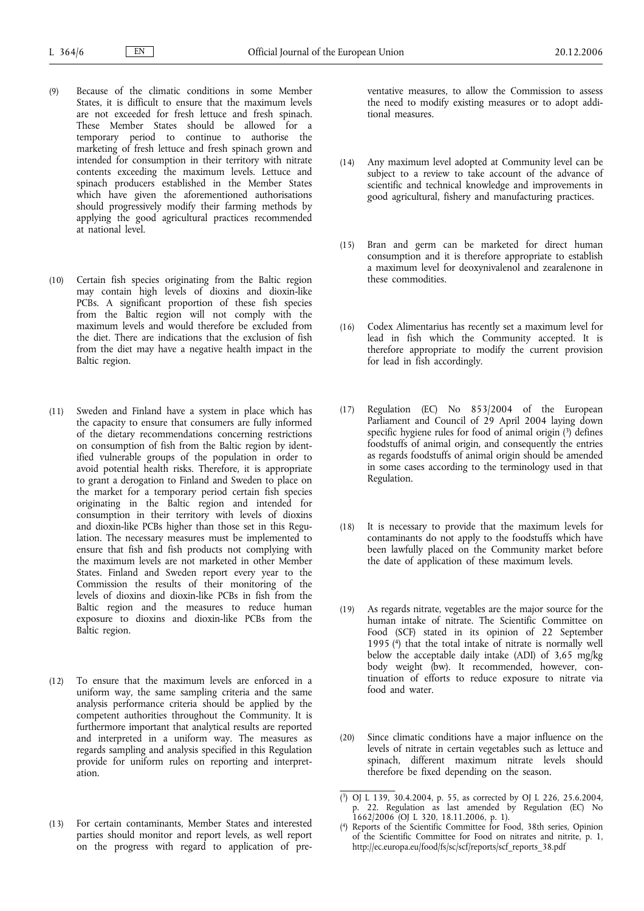- (9) Because of the climatic conditions in some Member States, it is difficult to ensure that the maximum levels are not exceeded for fresh lettuce and fresh spinach. These Member States should be allowed for a temporary period to continue to authorise the marketing of fresh lettuce and fresh spinach grown and intended for consumption in their territory with nitrate contents exceeding the maximum levels. Lettuce and spinach producers established in the Member States which have given the aforementioned authorisations should progressively modify their farming methods by applying the good agricultural practices recommended at national level.
- (10) Certain fish species originating from the Baltic region may contain high levels of dioxins and dioxin-like PCBs. A significant proportion of these fish species from the Baltic region will not comply with the maximum levels and would therefore be excluded from the diet. There are indications that the exclusion of fish from the diet may have a negative health impact in the Baltic region.
- (11) Sweden and Finland have a system in place which has the capacity to ensure that consumers are fully informed of the dietary recommendations concerning restrictions on consumption of fish from the Baltic region by identified vulnerable groups of the population in order to avoid potential health risks. Therefore, it is appropriate to grant a derogation to Finland and Sweden to place on the market for a temporary period certain fish species originating in the Baltic region and intended for consumption in their territory with levels of dioxins and dioxin-like PCBs higher than those set in this Regulation. The necessary measures must be implemented to ensure that fish and fish products not complying with the maximum levels are not marketed in other Member States. Finland and Sweden report every year to the Commission the results of their monitoring of the levels of dioxins and dioxin-like PCBs in fish from the Baltic region and the measures to reduce human exposure to dioxins and dioxin-like PCBs from the Baltic region.
- (12) To ensure that the maximum levels are enforced in a uniform way, the same sampling criteria and the same analysis performance criteria should be applied by the competent authorities throughout the Community. It is furthermore important that analytical results are reported and interpreted in a uniform way. The measures as regards sampling and analysis specified in this Regulation provide for uniform rules on reporting and interpretation.
- (13) For certain contaminants, Member States and interested parties should monitor and report levels, as well report on the progress with regard to application of pre-

ventative measures, to allow the Commission to assess the need to modify existing measures or to adopt additional measures.

- (14) Any maximum level adopted at Community level can be subject to a review to take account of the advance of scientific and technical knowledge and improvements in good agricultural, fishery and manufacturing practices.
- (15) Bran and germ can be marketed for direct human consumption and it is therefore appropriate to establish a maximum level for deoxynivalenol and zearalenone in these commodities.
- (16) Codex Alimentarius has recently set a maximum level for lead in fish which the Community accepted. It is therefore appropriate to modify the current provision for lead in fish accordingly.
- (17) Regulation (EC) No 853/2004 of the European Parliament and Council of 29 April 2004 laying down specific hygiene rules for food of animal origin  $(3)$  defines foodstuffs of animal origin, and consequently the entries as regards foodstuffs of animal origin should be amended in some cases according to the terminology used in that Regulation.
- (18) It is necessary to provide that the maximum levels for contaminants do not apply to the foodstuffs which have been lawfully placed on the Community market before the date of application of these maximum levels.
- (19) As regards nitrate, vegetables are the major source for the human intake of nitrate. The Scientific Committee on Food (SCF) stated in its opinion of 22 September 1995 (4) that the total intake of nitrate is normally well below the acceptable daily intake (ADI) of 3,65 mg/kg body weight (bw). It recommended, however, continuation of efforts to reduce exposure to nitrate via food and water.
- (20) Since climatic conditions have a major influence on the levels of nitrate in certain vegetables such as lettuce and spinach, different maximum nitrate levels should therefore be fixed depending on the season.

<sup>(</sup> 3) OJ L 139, 30.4.2004, p. 55, as corrected by OJ L 226, 25.6.2004, p. 22. Regulation as last amended by Regulation (EC) No 1662/2006 (OJ L 320, 18.11.2006, p. 1).

<sup>(</sup> 4) Reports of the Scientific Committee for Food, 38th series, Opinion of the Scientific Committee for Food on nitrates and nitrite, p. 1, http://ec.europa.eu/food/fs/sc/scf/reports/scf\_reports\_38.pdf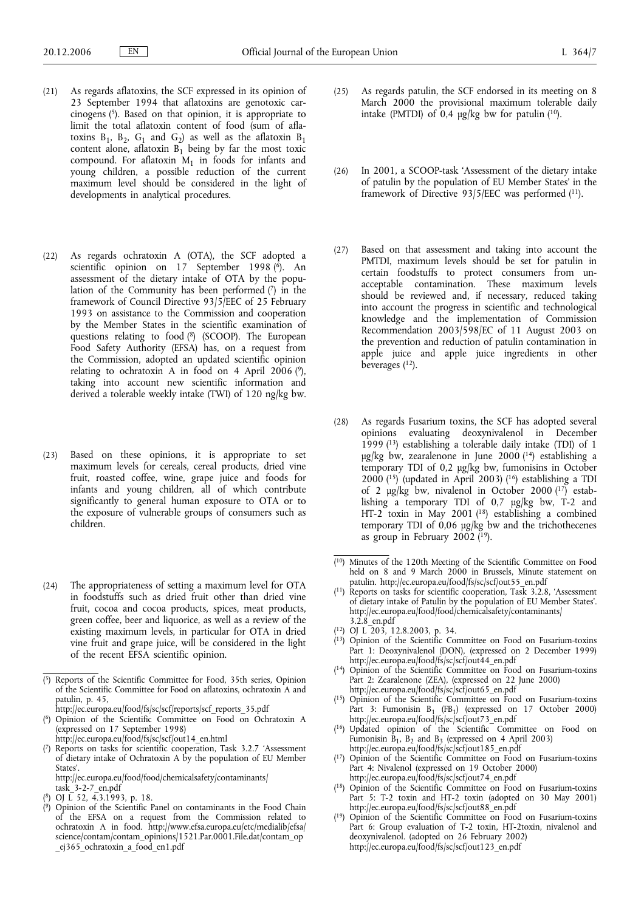- (21) As regards aflatoxins, the SCF expressed in its opinion of 23 September 1994 that aflatoxins are genotoxic carcinogens  $(5)$ . Based on that opinion, it is appropriate to limit the total aflatoxin content of food (sum of aflatoxins  $B_1$ ,  $B_2$ ,  $G_1$  and  $G_2$ ) as well as the aflatoxin  $B_1$ content alone, aflatoxin  $B_1$  being by far the most toxic compound. For aflatoxin  $M_1$  in foods for infants and young children, a possible reduction of the current maximum level should be considered in the light of developments in analytical procedures.
- (22) As regards ochratoxin A (OTA), the SCF adopted a scientific opinion on 17 September 1998  $(\hat{6})$ . An assessment of the dietary intake of OTA by the population of the Community has been performed  $(7)$  in the framework of Council Directive 93/5/EEC of 25 February 1993 on assistance to the Commission and cooperation by the Member States in the scientific examination of questions relating to food (8) (SCOOP). The European Food Safety Authority (EFSA) has, on a request from the Commission, adopted an updated scientific opinion relating to ochratoxin A in food on 4 April 2006 (9), taking into account new scientific information and derived a tolerable weekly intake (TWI) of 120 ng/kg bw.
- (23) Based on these opinions, it is appropriate to set maximum levels for cereals, cereal products, dried vine fruit, roasted coffee, wine, grape juice and foods for infants and young children, all of which contribute significantly to general human exposure to OTA or to the exposure of vulnerable groups of consumers such as children.
- (24) The appropriateness of setting a maximum level for OTA in foodstuffs such as dried fruit other than dried vine fruit, cocoa and cocoa products, spices, meat products, green coffee, beer and liquorice, as well as a review of the existing maximum levels, in particular for OTA in dried vine fruit and grape juice, will be considered in the light of the recent EFSA scientific opinion.

- http://ec.europa.eu/food/fs/sc/scf/out14\_en.html ( 7) Reports on tasks for scientific cooperation, Task 3.2.7 'Assessment
- of dietary intake of Ochratoxin A by the population of EU Member States'.

http://ec.europa.eu/food/food/chemicalsafety/contaminants/ task  $3-2-7$  en.pdf

- ( 8) OJ L 52, 4.3.1993, p. 18.
- ( 9) Opinion of the Scientific Panel on contaminants in the Food Chain of the EFSA on a request from the Commission related to ochratoxin A in food. http://www.efsa.europa.eu/etc/medialib/efsa/ science/contam/contam\_opinions/1521.Par.0001.File.dat/contam\_op \_ej365\_ochratoxin\_a\_food\_en1.pdf
- (25) As regards patulin, the SCF endorsed in its meeting on 8 March 2000 the provisional maximum tolerable daily intake (PMTDI) of 0,4  $\mu$ g/kg bw for patulin (<sup>10</sup>).
- (26) In 2001, a SCOOP-task 'Assessment of the dietary intake of patulin by the population of EU Member States' in the framework of Directive 93/5/EEC was performed (11).
- (27) Based on that assessment and taking into account the PMTDI, maximum levels should be set for patulin in certain foodstuffs to protect consumers from unacceptable contamination. These maximum levels should be reviewed and, if necessary, reduced taking into account the progress in scientific and technological knowledge and the implementation of Commission Recommendation 2003/598/EC of 11 August 2003 on the prevention and reduction of patulin contamination in apple juice and apple juice ingredients in other beverages  $(12)$ .
- (28) As regards Fusarium toxins, the SCF has adopted several opinions evaluating deoxynivalenol in December 1999 (13) establishing a tolerable daily intake (TDI) of 1 μg/kg bw, zearalenone in June 2000 (14) establishing a temporary TDI of 0,2 μg/kg bw, fumonisins in October 2000 ( $15$ ) (updated in April 2003) ( $16$ ) establishing a TDI of 2 μg/kg bw, nivalenol in October 2000 (17) establishing a temporary TDI of 0,7 μg/kg bw, T-2 and HT-2 toxin in May 2001 (18) establishing a combined temporary TDI of 0,06 μg/kg bw and the trichothecenes as group in February 2002  $(19)$ .
- ( 10) Minutes of the 120th Meeting of the Scientific Committee on Food held on 8 and 9 March 2000 in Brussels, Minute statement on patulin. http://ec.europa.eu/food/fs/sc/scf/out55\_en.pdf
- ( 11) Reports on tasks for scientific cooperation, Task 3.2.8, 'Assessment of dietary intake of Patulin by the population of EU Member States'. http://ec.europa.eu/food/food/chemicalsafety/contaminants/ 3.2.8\_en.pdf
- ( 12) OJ L 203, 12.8.2003, p. 34.
- ( 13) Opinion of the Scientific Committee on Food on Fusarium-toxins Part 1: Deoxynivalenol (DON), (expressed on 2 December 1999) http://ec.europa.eu/food/fs/sc/scf/out44\_en.pdf
- ( 14) Opinion of the Scientific Committee on Food on Fusarium-toxins Part 2: Zearalenone (ZEA), (expressed on 22 June 2000) http://ec.europa.eu/food/fs/sc/scf/out65\_en.pdf
- ( 15) Opinion of the Scientific Committee on Food on Fusarium-toxins Part 3: Fumonisin B<sub>1</sub> (FB<sub>1</sub>) (expressed on 17 October 2000)<br>http://ec.europa.eu/food/fs/sc/scf/out73\_en.pdf
- ( 16) Updated opinion of the Scientific Committee on Food on Fumonisin  $\overline{B}_1$ ,  $B_2$  and  $B_3$  (expressed on 4 April 2003) http://ec.europa.eu/food/fs/sc/scf/out185\_en.pdf
- ( 17) Opinion of the Scientific Committee on Food on Fusarium-toxins Part 4: Nivalenol (expressed on 19 October 2000) http://ec.europa.eu/food/fs/sc/scf/out74\_en.pdf
- ( 18) Opinion of the Scientific Committee on Food on Fusarium-toxins Part 5: T-2 toxin and HT-2 toxin (adopted on 30 May 2001) http://ec.europa.eu/food/fs/sc/scf/out88\_en.pdf
- ( 19) Opinion of the Scientific Committee on Food on Fusarium-toxins Part 6: Group evaluation of T-2 toxin, HT-2toxin, nivalenol and deoxynivalenol. (adopted on 26 February 2002) http://ec.europa.eu/food/fs/sc/scf/out123\_en.pdf

<sup>(</sup> 5) Reports of the Scientific Committee for Food, 35th series, Opinion of the Scientific Committee for Food on aflatoxins, ochratoxin A and patulin, p. 45,

http://ec.europa.eu/food/fs/sc/scf/reports/scf\_reports\_35.pdf ( 6) Opinion of the Scientific Committee on Food on Ochratoxin A (expressed on 17 September 1998)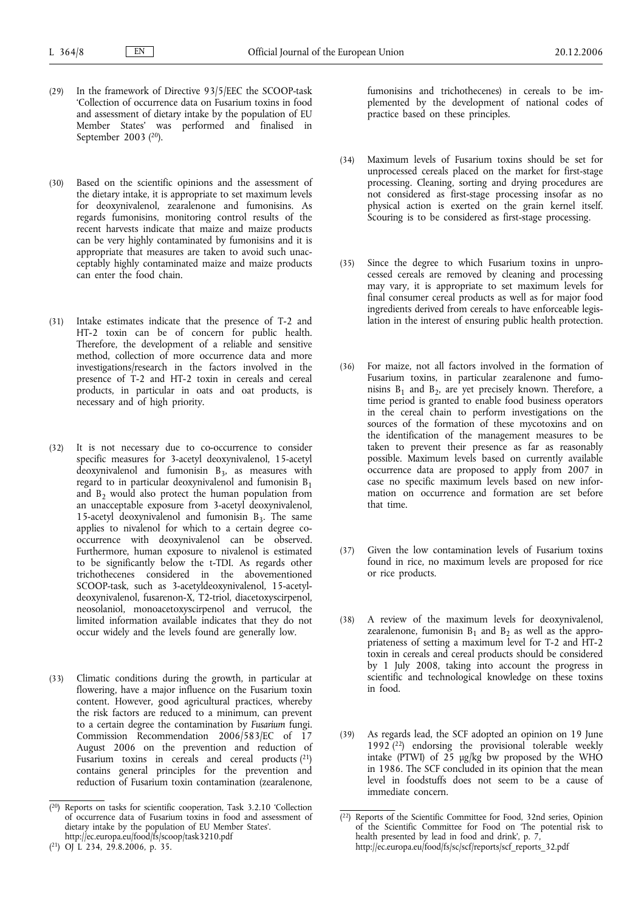- (29) In the framework of Directive 93/5/EEC the SCOOP-task 'Collection of occurrence data on Fusarium toxins in food and assessment of dietary intake by the population of EU Member States' was performed and finalised in September 2003 (<sup>20</sup>).
- (30) Based on the scientific opinions and the assessment of the dietary intake, it is appropriate to set maximum levels for deoxynivalenol, zearalenone and fumonisins. As regards fumonisins, monitoring control results of the recent harvests indicate that maize and maize products can be very highly contaminated by fumonisins and it is appropriate that measures are taken to avoid such unacceptably highly contaminated maize and maize products can enter the food chain.
- (31) Intake estimates indicate that the presence of T-2 and HT-2 toxin can be of concern for public health. Therefore, the development of a reliable and sensitive method, collection of more occurrence data and more investigations/research in the factors involved in the presence of T-2 and HT-2 toxin in cereals and cereal products, in particular in oats and oat products, is necessary and of high priority.
- (32) It is not necessary due to co-occurrence to consider specific measures for 3-acetyl deoxynivalenol, 15-acetyl  $deoxynivalent$  and fumonisin  $B_3$ , as measures with regard to in particular deoxynivalenol and fumonisin  $B_1$ and  $B_2$  would also protect the human population from an unacceptable exposure from 3-acetyl deoxynivalenol, 15-acetyl deoxynivalenol and fumonisin  $B_3$ . The same applies to nivalenol for which to a certain degree cooccurrence with deoxynivalenol can be observed. Furthermore, human exposure to nivalenol is estimated to be significantly below the t-TDI. As regards other trichothecenes considered in the abovementioned SCOOP-task, such as 3-acetyldeoxynivalenol, 15-acetyldeoxynivalenol, fusarenon-X, T2-triol, diacetoxyscirpenol, neosolaniol, monoacetoxyscirpenol and verrucol, the limited information available indicates that they do not occur widely and the levels found are generally low.
- (33) Climatic conditions during the growth, in particular at flowering, have a major influence on the Fusarium toxin content. However, good agricultural practices, whereby the risk factors are reduced to a minimum, can prevent to a certain degree the contamination by *Fusarium* fungi. Commission Recommendation 2006/583/EC of 17 August 2006 on the prevention and reduction of Fusarium toxins in cereals and cereal products (21) contains general principles for the prevention and reduction of Fusarium toxin contamination (zearalenone,

fumonisins and trichothecenes) in cereals to be implemented by the development of national codes of practice based on these principles.

- (34) Maximum levels of Fusarium toxins should be set for unprocessed cereals placed on the market for first-stage processing. Cleaning, sorting and drying procedures are not considered as first-stage processing insofar as no physical action is exerted on the grain kernel itself. Scouring is to be considered as first-stage processing.
- (35) Since the degree to which Fusarium toxins in unprocessed cereals are removed by cleaning and processing may vary, it is appropriate to set maximum levels for final consumer cereal products as well as for major food ingredients derived from cereals to have enforceable legislation in the interest of ensuring public health protection.
- (36) For maize, not all factors involved in the formation of Fusarium toxins, in particular zearalenone and fumonisins  $B_1$  and  $B_2$ , are yet precisely known. Therefore, a time period is granted to enable food business operators in the cereal chain to perform investigations on the sources of the formation of these mycotoxins and on the identification of the management measures to be taken to prevent their presence as far as reasonably possible. Maximum levels based on currently available occurrence data are proposed to apply from 2007 in case no specific maximum levels based on new information on occurrence and formation are set before that time.
- (37) Given the low contamination levels of Fusarium toxins found in rice, no maximum levels are proposed for rice or rice products.
- (38) A review of the maximum levels for deoxynivalenol, zearalenone, fumonisin  $B_1$  and  $B_2$  as well as the appropriateness of setting a maximum level for T-2 and HT-2 toxin in cereals and cereal products should be considered by 1 July 2008, taking into account the progress in scientific and technological knowledge on these toxins in food.
- (39) As regards lead, the SCF adopted an opinion on 19 June 1992 $(2^2)$  endorsing the provisional tolerable weekly intake (PTWI) of  $25 \mu g/kg$  bw proposed by the WHO in 1986. The SCF concluded in its opinion that the mean level in foodstuffs does not seem to be a cause of immediate concern.

<sup>(</sup> 20) Reports on tasks for scientific cooperation, Task 3.2.10 'Collection of occurrence data of Fusarium toxins in food and assessment of dietary intake by the population of EU Member States'. http://ec.europa.eu/food/fs/scoop/task3210.pdf

<sup>(</sup> 21) OJ L 234, 29.8.2006, p. 35.

<sup>(</sup> 22) Reports of the Scientific Committee for Food, 32nd series, Opinion of the Scientific Committee for Food on 'The potential risk to health presented by lead in food and drink', p. 7, http://ec.europa.eu/food/fs/sc/scf/reports/scf\_reports\_32.pdf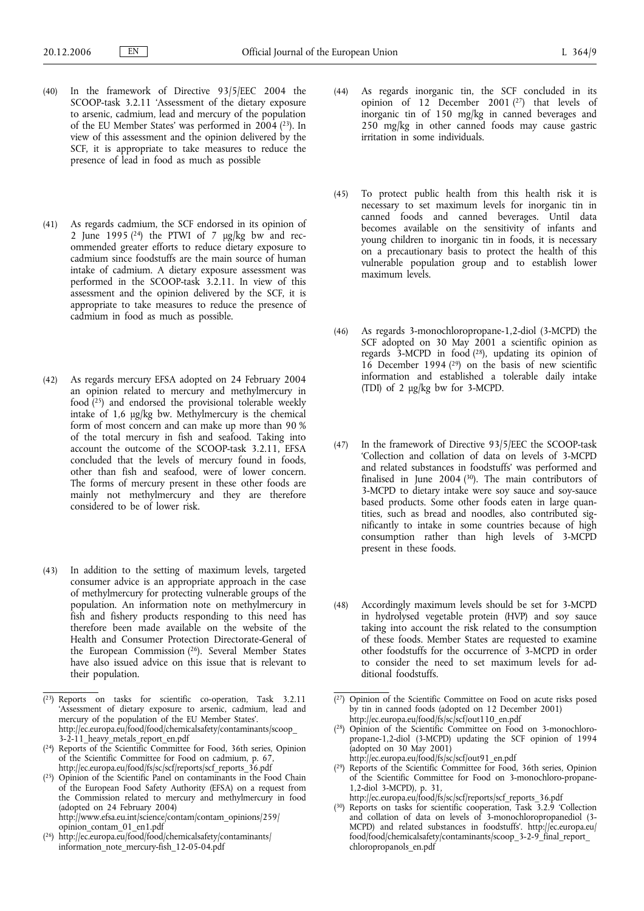- (40) In the framework of Directive 93/5/EEC 2004 the SCOOP-task 3.2.11 'Assessment of the dietary exposure to arsenic, cadmium, lead and mercury of the population of the EU Member States' was performed in  $2004$  (<sup>23</sup>). In view of this assessment and the opinion delivered by the SCF, it is appropriate to take measures to reduce the presence of lead in food as much as possible
- (41) As regards cadmium, the SCF endorsed in its opinion of 2 June 1995 ( $24$ ) the PTWI of 7  $\mu$ g/kg bw and recommended greater efforts to reduce dietary exposure to cadmium since foodstuffs are the main source of human intake of cadmium. A dietary exposure assessment was performed in the SCOOP-task 3.2.11. In view of this assessment and the opinion delivered by the SCF, it is appropriate to take measures to reduce the presence of cadmium in food as much as possible.
- (42) As regards mercury EFSA adopted on 24 February 2004 an opinion related to mercury and methylmercury in food (25) and endorsed the provisional tolerable weekly intake of 1,6 μg/kg bw. Methylmercury is the chemical form of most concern and can make up more than 90 % of the total mercury in fish and seafood. Taking into account the outcome of the SCOOP-task 3.2.11, EFSA concluded that the levels of mercury found in foods, other than fish and seafood, were of lower concern. The forms of mercury present in these other foods are mainly not methylmercury and they are therefore considered to be of lower risk.
- (43) In addition to the setting of maximum levels, targeted consumer advice is an appropriate approach in the case of methylmercury for protecting vulnerable groups of the population. An information note on methylmercury in fish and fishery products responding to this need has therefore been made available on the website of the Health and Consumer Protection Directorate-General of the European Commission (26). Several Member States have also issued advice on this issue that is relevant to their population.
- (44) As regards inorganic tin, the SCF concluded in its opinion of 12 December 2001 $(27)$  that levels of inorganic tin of 150 mg/kg in canned beverages and 250 mg/kg in other canned foods may cause gastric irritation in some individuals.
- (45) To protect public health from this health risk it is necessary to set maximum levels for inorganic tin in canned foods and canned beverages. Until data becomes available on the sensitivity of infants and young children to inorganic tin in foods, it is necessary on a precautionary basis to protect the health of this vulnerable population group and to establish lower maximum levels.
- (46) As regards 3-monochloropropane-1,2-diol (3-MCPD) the SCF adopted on 30 May 2001 a scientific opinion as regards 3-MCPD in food (28), updating its opinion of  $16$  December 1994 ( $29$ ) on the basis of new scientific information and established a tolerable daily intake (TDI) of 2 μg/kg bw for 3-MCPD.
- (47) In the framework of Directive 93/5/EEC the SCOOP-task 'Collection and collation of data on levels of 3-MCPD and related substances in foodstuffs' was performed and finalised in June 2004 ( $30$ ). The main contributors of 3-MCPD to dietary intake were soy sauce and soy-sauce based products. Some other foods eaten in large quantities, such as bread and noodles, also contributed significantly to intake in some countries because of high consumption rather than high levels of 3-MCPD present in these foods.
- (48) Accordingly maximum levels should be set for 3-MCPD in hydrolysed vegetable protein (HVP) and soy sauce taking into account the risk related to the consumption of these foods. Member States are requested to examine other foodstuffs for the occurrence of 3-MCPD in order to consider the need to set maximum levels for additional foodstuffs.

( 29) Reports of the Scientific Committee for Food, 36th series, Opinion of the Scientific Committee for Food on 3-monochloro-propane-1,2-diol 3-MCPD), p. 31, http://ec.europa.eu/food/fs/sc/scf/reports/scf\_reports\_36.pdf

<sup>(</sup> 23) Reports on tasks for scientific co-operation, Task 3.2.11 'Assessment of dietary exposure to arsenic, cadmium, lead and mercury of the population of the EU Member States'. http://ec.europa.eu/food/food/chemicalsafety/contaminants/scoop\_ 3-2-11\_heavy\_metals\_report\_en.pdf

<sup>(</sup> 24) Reports of the Scientific Committee for Food, 36th series, Opinion of the Scientific Committee for Food on cadmium, p. 67, http://ec.europa.eu/food/fs/sc/scf/reports/scf\_reports\_36.pdf

 $(25)$ 25) Opinion of the Scientific Panel on contaminants in the Food Chain of the European Food Safety Authority (EFSA) on a request from the Commission related to mercury and methylmercury in food (adopted on 24 February 2004) http://www.efsa.eu.int/science/contam/contam\_opinions/259/ opinion\_contam\_01\_en1.pdf

 $(26)$ 26) http://ec.europa.eu/food/food/chemicalsafety/contaminants/ information\_note\_mercury-fish\_12-05-04.pdf

<sup>(</sup> 27) Opinion of the Scientific Committee on Food on acute risks posed by tin in canned foods (adopted on 12 December 2001) http://ec.europa.eu/food/fs/sc/scf/out110\_en.pdf

<sup>(</sup> 28) Opinion of the Scientific Committee on Food on 3-monochloropropane-1,2-diol (3-MCPD) updating the SCF opinion of 1994 (adopted on 30 May 2001)

http://ec.europa.eu/food/fs/sc/scf/out91\_en.pdf

<sup>(</sup> 30) Reports on tasks for scientific cooperation, Task 3.2.9 'Collection and collation of data on levels of 3-monochloropropanediol (3- MCPD) and related substances in foodstuffs'. http://ec.europa.eu/ food/food/chemicalsafety/contaminants/scoop\_3-2-9\_final\_report\_ chloropropanols\_en.pdf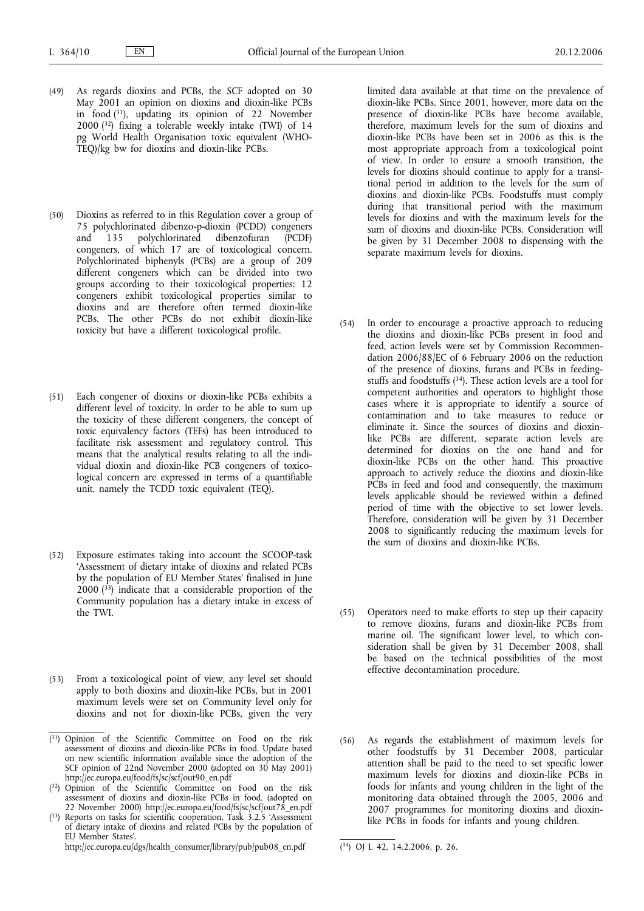- (49) As regards dioxins and PCBs, the SCF adopted on 30 May 2001 an opinion on dioxins and dioxin-like PCBs in food  $(31)$ , updating its opinion of 22 November  $2000$  (32) fixing a tolerable weekly intake (TWI) of 14 pg World Health Organisation toxic equivalent (WHO-TEQ)/kg bw for dioxins and dioxin-like PCBs.
- (50) Dioxins as referred to in this Regulation cover a group of 75 polychlorinated dibenzo-p-dioxin (PCDD) congeners and 135 polychlorinated dibenzofuran (PCDF) congeners, of which 17 are of toxicological concern. Polychlorinated biphenyls (PCBs) are a group of 209 different congeners which can be divided into two groups according to their toxicological properties: 12 congeners exhibit toxicological properties similar to dioxins and are therefore often termed dioxin-like PCBs. The other PCBs do not exhibit dioxin-like toxicity but have a different toxicological profile.
- (51) Each congener of dioxins or dioxin-like PCBs exhibits a different level of toxicity. In order to be able to sum up the toxicity of these different congeners, the concept of toxic equivalency factors (TEFs) has been introduced to facilitate risk assessment and regulatory control. This means that the analytical results relating to all the individual dioxin and dioxin-like PCB congeners of toxicological concern are expressed in terms of a quantifiable unit, namely the TCDD toxic equivalent (TEQ).
- (52) Exposure estimates taking into account the SCOOP-task 'Assessment of dietary intake of dioxins and related PCBs by the population of EU Member States' finalised in June  $2000$  ( $33$ ) indicate that a considerable proportion of the Community population has a dietary intake in excess of the TWI.
- (53) From a toxicological point of view, any level set should apply to both dioxins and dioxin-like PCBs, but in 2001 maximum levels were set on Community level only for dioxins and not for dioxin-like PCBs, given the very
- ( 31) Opinion of the Scientific Committee on Food on the risk assessment of dioxins and dioxin-like PCBs in food. Update based on new scientific information available since the adoption of the SCF opinion of 22nd November 2000 (adopted on 30 May 2001) http://ec.europa.eu/food/fs/sc/scf/out90\_en.pdf
- ( 32) Opinion of the Scientific Committee on Food on the risk assessment of dioxins and dioxin-like PCBs in food. (adopted on 22 November 2000) http://ec.europa.eu/food/fs/sc/scf/out78\_en.pdf
- ( 33) Reports on tasks for scientific cooperation, Task 3.2.5 'Assessment of dietary intake of dioxins and related PCBs by the population of EU Member States'.

http://ec.europa.eu/dgs/health\_consumer/library/pub/pub08\_en.pdf (

limited data available at that time on the prevalence of dioxin-like PCBs. Since 2001, however, more data on the presence of dioxin-like PCBs have become available, therefore, maximum levels for the sum of dioxins and dioxin-like PCBs have been set in 2006 as this is the most appropriate approach from a toxicological point of view. In order to ensure a smooth transition, the levels for dioxins should continue to apply for a transitional period in addition to the levels for the sum of dioxins and dioxin-like PCBs. Foodstuffs must comply during that transitional period with the maximum levels for dioxins and with the maximum levels for the sum of dioxins and dioxin-like PCBs. Consideration will be given by 31 December 2008 to dispensing with the separate maximum levels for dioxins.

- (54) In order to encourage a proactive approach to reducing the dioxins and dioxin-like PCBs present in food and feed, action levels were set by Commission Recommendation 2006/88/EC of 6 February 2006 on the reduction of the presence of dioxins, furans and PCBs in feedingstuffs and foodstuffs (34). These action levels are a tool for competent authorities and operators to highlight those cases where it is appropriate to identify a source of contamination and to take measures to reduce or eliminate it. Since the sources of dioxins and dioxinlike PCBs are different, separate action levels are determined for dioxins on the one hand and for dioxin-like PCBs on the other hand. This proactive approach to actively reduce the dioxins and dioxin-like PCBs in feed and food and consequently, the maximum levels applicable should be reviewed within a defined period of time with the objective to set lower levels. Therefore, consideration will be given by 31 December 2008 to significantly reducing the maximum levels for the sum of dioxins and dioxin-like PCBs.
- (55) Operators need to make efforts to step up their capacity to remove dioxins, furans and dioxin-like PCBs from marine oil. The significant lower level, to which consideration shall be given by 31 December 2008, shall be based on the technical possibilities of the most effective decontamination procedure.
- (56) As regards the establishment of maximum levels for other foodstuffs by 31 December 2008, particular attention shall be paid to the need to set specific lower maximum levels for dioxins and dioxin-like PCBs in foods for infants and young children in the light of the monitoring data obtained through the 2005, 2006 and 2007 programmes for monitoring dioxins and dioxinlike PCBs in foods for infants and young children.

 $\overline{(^{34})}$  OJ L 42, 14.2.2006, p. 26.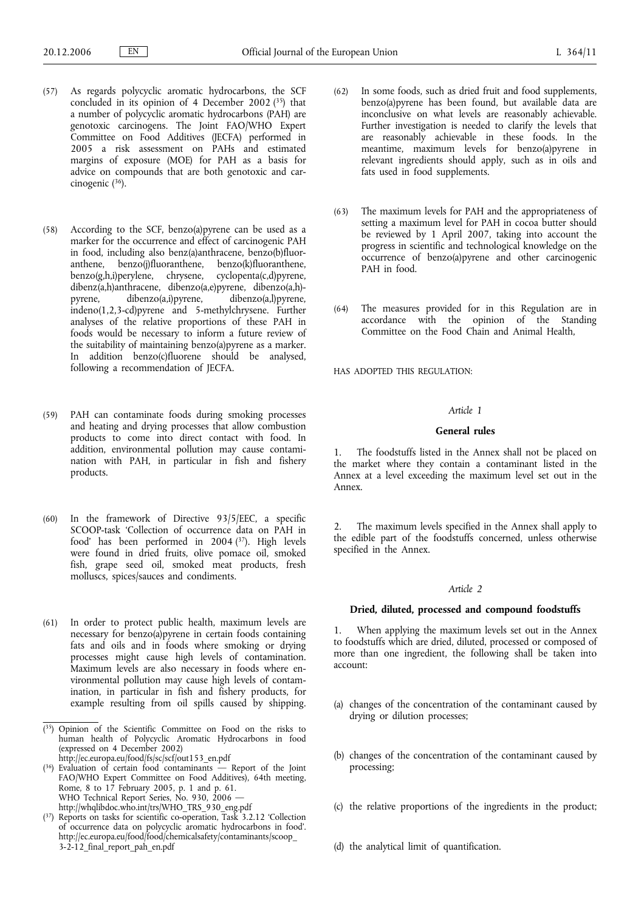- (57) As regards polycyclic aromatic hydrocarbons, the SCF concluded in its opinion of 4 December 2002  $(35)$  that a number of polycyclic aromatic hydrocarbons (PAH) are genotoxic carcinogens. The Joint FAO/WHO Expert Committee on Food Additives (JECFA) performed in 2005 a risk assessment on PAHs and estimated margins of exposure (MOE) for PAH as a basis for advice on compounds that are both genotoxic and carcinogenic (36).
- (58) According to the SCF, benzo(a)pyrene can be used as a marker for the occurrence and effect of carcinogenic PAH in food, including also benz(a)anthracene, benzo(b)fluoranthene, benzo(j)fluoranthene, benzo(k)fluoranthene, benzo(g,h,i)perylene, chrysene, cyclopenta(c,d)pyrene, dibenz(a,h)anthracene, dibenzo(a,e)pyrene, dibenzo(a,h) pyrene, dibenzo(a,i)pyrene, dibenzo(a,l)pyrene, indeno(1,2,3-cd)pyrene and 5-methylchrysene. Further analyses of the relative proportions of these PAH in foods would be necessary to inform a future review of the suitability of maintaining benzo(a)pyrene as a marker. In addition benzo(c)fluorene should be analysed, following a recommendation of JECFA.
- (59) PAH can contaminate foods during smoking processes and heating and drying processes that allow combustion products to come into direct contact with food. In addition, environmental pollution may cause contamination with PAH, in particular in fish and fishery products.
- (60) In the framework of Directive 93/5/EEC, a specific SCOOP-task 'Collection of occurrence data on PAH in food' has been performed in  $2004$  ( $37$ ). High levels were found in dried fruits, olive pomace oil, smoked fish, grape seed oil, smoked meat products, fresh molluscs, spices/sauces and condiments.
- (61) In order to protect public health, maximum levels are necessary for benzo(a)pyrene in certain foods containing fats and oils and in foods where smoking or drying processes might cause high levels of contamination. Maximum levels are also necessary in foods where environmental pollution may cause high levels of contamination, in particular in fish and fishery products, for example resulting from oil spills caused by shipping.
- ( 35) Opinion of the Scientific Committee on Food on the risks to human health of Polycyclic Aromatic Hydrocarbons in food (expressed on 4 December 2002)

http://ec.europa.eu/food/fs/sc/scf/out153\_en.pdf

- ( 36) Evaluation of certain food contaminants Report of the Joint FAO/WHO Expert Committee on Food Additives), 64th meeting, Rome, 8 to 17 February 2005, p. 1 and p. 61. WHO Technical Report Series, No. 930, 2006 http://whqlibdoc.who.int/trs/WHO\_TRS\_930\_eng.pdf
- ( 37) Reports on tasks for scientific co-operation, Task 3.2.12 'Collection of occurrence data on polycyclic aromatic hydrocarbons in food'. http://ec.europa.eu/food/food/chemicalsafety/contaminants/scoop\_ 3-2-12\_final\_report\_pah\_en.pdf
- (62) In some foods, such as dried fruit and food supplements, benzo(a)pyrene has been found, but available data are inconclusive on what levels are reasonably achievable. Further investigation is needed to clarify the levels that are reasonably achievable in these foods. In the meantime, maximum levels for benzo(a)pyrene in relevant ingredients should apply, such as in oils and fats used in food supplements.
- (63) The maximum levels for PAH and the appropriateness of setting a maximum level for PAH in cocoa butter should be reviewed by 1 April 2007, taking into account the progress in scientific and technological knowledge on the occurrence of benzo(a)pyrene and other carcinogenic PAH in food.
- (64) The measures provided for in this Regulation are in accordance with the opinion of the Standing Committee on the Food Chain and Animal Health,

HAS ADOPTED THIS REGULATION:

# *Article 1*

# **General rules**

1. The foodstuffs listed in the Annex shall not be placed on the market where they contain a contaminant listed in the Annex at a level exceeding the maximum level set out in the Annex.

2. The maximum levels specified in the Annex shall apply to the edible part of the foodstuffs concerned, unless otherwise specified in the Annex.

### *Article 2*

### **Dried, diluted, processed and compound foodstuffs**

1. When applying the maximum levels set out in the Annex to foodstuffs which are dried, diluted, processed or composed of more than one ingredient, the following shall be taken into account:

- (a) changes of the concentration of the contaminant caused by drying or dilution processes;
- (b) changes of the concentration of the contaminant caused by processing;
- (c) the relative proportions of the ingredients in the product;
- (d) the analytical limit of quantification.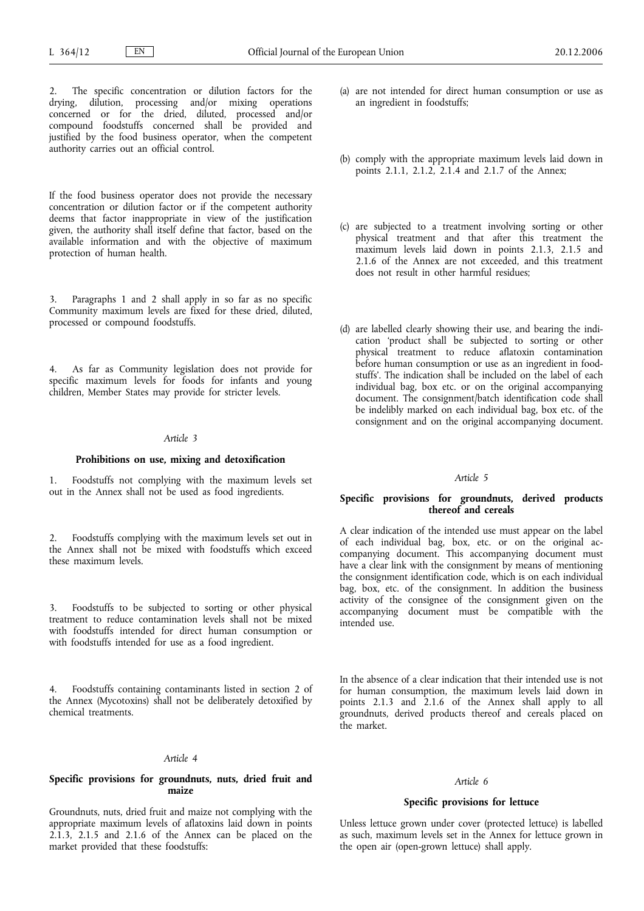The specific concentration or dilution factors for the drying, dilution, processing and/or mixing operations concerned or for the dried, diluted, processed and/or compound foodstuffs concerned shall be provided and justified by the food business operator, when the competent authority carries out an official control.

If the food business operator does not provide the necessary concentration or dilution factor or if the competent authority deems that factor inappropriate in view of the justification given, the authority shall itself define that factor, based on the available information and with the objective of maximum protection of human health.

3. Paragraphs 1 and 2 shall apply in so far as no specific Community maximum levels are fixed for these dried, diluted, processed or compound foodstuffs.

4. As far as Community legislation does not provide for specific maximum levels for foods for infants and young children, Member States may provide for stricter levels.

## *Article 3*

## **Prohibitions on use, mixing and detoxification**

1. Foodstuffs not complying with the maximum levels set out in the Annex shall not be used as food ingredients.

2. Foodstuffs complying with the maximum levels set out in the Annex shall not be mixed with foodstuffs which exceed these maximum levels.

3. Foodstuffs to be subjected to sorting or other physical treatment to reduce contamination levels shall not be mixed with foodstuffs intended for direct human consumption or with foodstuffs intended for use as a food ingredient.

4. Foodstuffs containing contaminants listed in section 2 of the Annex (Mycotoxins) shall not be deliberately detoxified by chemical treatments.

#### *Article 4*

## **Specific provisions for groundnuts, nuts, dried fruit and maize**

Groundnuts, nuts, dried fruit and maize not complying with the appropriate maximum levels of aflatoxins laid down in points 2.1.3, 2.1.5 and 2.1.6 of the Annex can be placed on the market provided that these foodstuffs:

- (a) are not intended for direct human consumption or use as an ingredient in foodstuffs;
- (b) comply with the appropriate maximum levels laid down in points 2.1.1, 2.1.2, 2.1.4 and 2.1.7 of the Annex;
- (c) are subjected to a treatment involving sorting or other physical treatment and that after this treatment the maximum levels laid down in points 2.1.3, 2.1.5 and 2.1.6 of the Annex are not exceeded, and this treatment does not result in other harmful residues;
- (d) are labelled clearly showing their use, and bearing the indication 'product shall be subjected to sorting or other physical treatment to reduce aflatoxin contamination before human consumption or use as an ingredient in foodstuffs'. The indication shall be included on the label of each individual bag, box etc. or on the original accompanying document. The consignment/batch identification code shall be indelibly marked on each individual bag, box etc. of the consignment and on the original accompanying document.

## *Article 5*

# **Specific provisions for groundnuts, derived products thereof and cereals**

A clear indication of the intended use must appear on the label of each individual bag, box, etc. or on the original accompanying document. This accompanying document must have a clear link with the consignment by means of mentioning the consignment identification code, which is on each individual bag, box, etc. of the consignment. In addition the business activity of the consignee of the consignment given on the accompanying document must be compatible with the intended use.

In the absence of a clear indication that their intended use is not for human consumption, the maximum levels laid down in points 2.1.3 and 2.1.6 of the Annex shall apply to all groundnuts, derived products thereof and cereals placed on the market.

#### *Article 6*

#### **Specific provisions for lettuce**

Unless lettuce grown under cover (protected lettuce) is labelled as such, maximum levels set in the Annex for lettuce grown in the open air (open-grown lettuce) shall apply.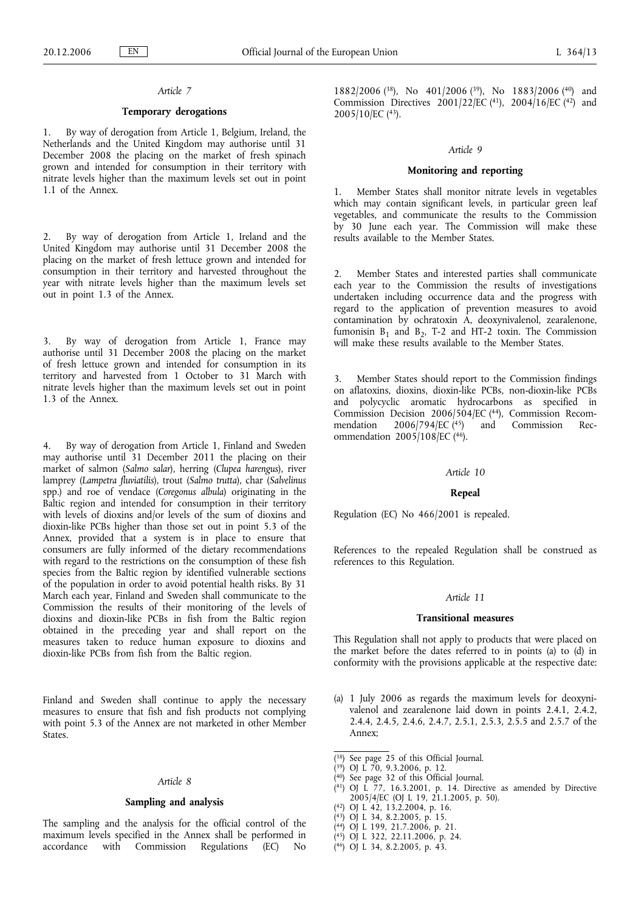# *Article 7*

# **Temporary derogations**

1. By way of derogation from Article 1, Belgium, Ireland, the Netherlands and the United Kingdom may authorise until 31 December 2008 the placing on the market of fresh spinach grown and intended for consumption in their territory with nitrate levels higher than the maximum levels set out in point 1.1 of the Annex.

2. By way of derogation from Article 1, Ireland and the United Kingdom may authorise until 31 December 2008 the placing on the market of fresh lettuce grown and intended for consumption in their territory and harvested throughout the year with nitrate levels higher than the maximum levels set out in point 1.3 of the Annex.

3. By way of derogation from Article 1, France may authorise until 31 December 2008 the placing on the market of fresh lettuce grown and intended for consumption in its territory and harvested from 1 October to 31 March with nitrate levels higher than the maximum levels set out in point 1.3 of the Annex.

4. By way of derogation from Article 1, Finland and Sweden may authorise until 31 December 2011 the placing on their market of salmon (*Salmo salar*), herring (*Clupea harengus*), river lamprey (*Lampetra fluviatilis*), trout (*Salmo trutta*), char (*Salvelinus* spp.) and roe of vendace (*Coregonus albula*) originating in the Baltic region and intended for consumption in their territory with levels of dioxins and/or levels of the sum of dioxins and dioxin-like PCBs higher than those set out in point 5.3 of the Annex, provided that a system is in place to ensure that consumers are fully informed of the dietary recommendations with regard to the restrictions on the consumption of these fish species from the Baltic region by identified vulnerable sections of the population in order to avoid potential health risks. By 31 March each year, Finland and Sweden shall communicate to the Commission the results of their monitoring of the levels of dioxins and dioxin-like PCBs in fish from the Baltic region obtained in the preceding year and shall report on the measures taken to reduce human exposure to dioxins and dioxin-like PCBs from fish from the Baltic region.

Finland and Sweden shall continue to apply the necessary measures to ensure that fish and fish products not complying with point 5.3 of the Annex are not marketed in other Member States.

#### *Article 8*

### **Sampling and analysis**

The sampling and the analysis for the official control of the maximum levels specified in the Annex shall be performed in accordance with Commission Regulations (EC) No 1882/2006 (38), No 401/2006 (39), No 1883/2006 (40) and Commission Directives  $2001/22/EC$  (41),  $2004/16/EC$  (42) and 2005/10/EC (43).

#### *Article 9*

### **Monitoring and reporting**

1. Member States shall monitor nitrate levels in vegetables which may contain significant levels, in particular green leaf vegetables, and communicate the results to the Commission by 30 June each year. The Commission will make these results available to the Member States.

2. Member States and interested parties shall communicate each year to the Commission the results of investigations undertaken including occurrence data and the progress with regard to the application of prevention measures to avoid contamination by ochratoxin A, deoxynivalenol, zearalenone, fumonisin  $B_1$  and  $B_2$ , T-2 and HT-2 toxin. The Commission will make these results available to the Member States.

3. Member States should report to the Commission findings on aflatoxins, dioxins, dioxin-like PCBs, non-dioxin-like PCBs and polycyclic aromatic hydrocarbons as specified in Commission Decision 2006/504/EC (44), Commission Recommendation 2006/794/EC (45) and Commission Recmendation 2006/794/EC (45) and Commission Recommendation 2005/108/EC (46).

#### *Article 10*

### **Repeal**

Regulation (EC) No 466/2001 is repealed.

References to the repealed Regulation shall be construed as references to this Regulation.

### *Article 11*

#### **Transitional measures**

This Regulation shall not apply to products that were placed on the market before the dates referred to in points (a) to (d) in conformity with the provisions applicable at the respective date:

- (a) 1 July 2006 as regards the maximum levels for deoxynivalenol and zearalenone laid down in points 2.4.1, 2.4.2, 2.4.4, 2.4.5, 2.4.6, 2.4.7, 2.5.1, 2.5.3, 2.5.5 and 2.5.7 of the Annex;
- ( 38) See page 25 of this Official Journal.
- ( 39) OJ L 70, 9.3.2006, p. 12.
- ( 40) See page 32 of this Official Journal.
- ( 41) OJ L 77, 16.3.2001, p. 14. Directive as amended by Directive 2005/4/EC (OJ L 19, 21.1.2005, p. 50).
- ( 42) OJ L 42, 13.2.2004, p. 16.
- ( 43) OJ L 34, 8.2.2005, p. 15.
- ( 44) OJ L 199, 21.7.2006, p. 21.
- ( 45) OJ L 322, 22.11.2006, p. 24.
- ( 46) OJ L 34, 8.2.2005, p. 43.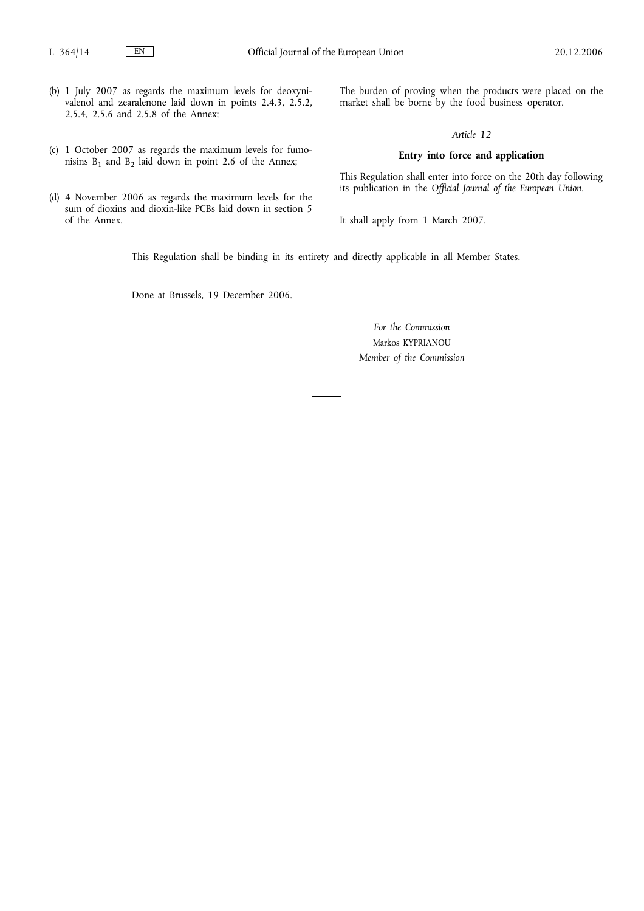- (b) 1 July 2007 as regards the maximum levels for deoxynivalenol and zearalenone laid down in points 2.4.3, 2.5.2, 2.5.4, 2.5.6 and 2.5.8 of the Annex;
- (c) 1 October 2007 as regards the maximum levels for fumonisins  $B_1$  and  $B_2$  laid down in point 2.6 of the Annex;
- (d) 4 November 2006 as regards the maximum levels for the sum of dioxins and dioxin-like PCBs laid down in section 5 of the Annex.

The burden of proving when the products were placed on the market shall be borne by the food business operator.

# *Article 12*

# **Entry into force and application**

This Regulation shall enter into force on the 20th day following its publication in the *Official Journal of the European Union*.

It shall apply from 1 March 2007.

This Regulation shall be binding in its entirety and directly applicable in all Member States.

Done at Brussels, 19 December 2006.

*For the Commission* Markos KYPRIANOU *Member of the Commission*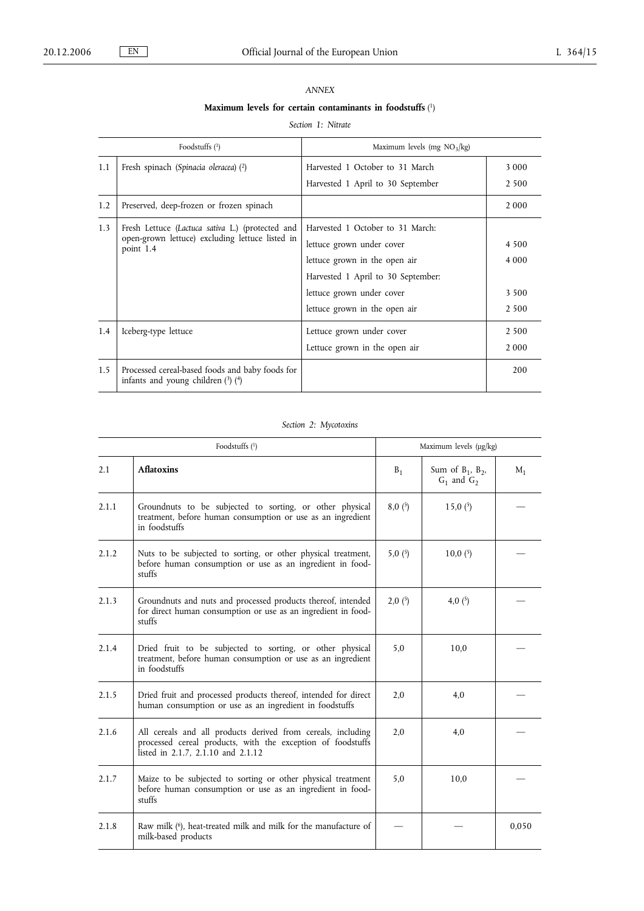# *ANNEX*

#### **Maximum levels for certain contaminants in foodstuffs** ( 1)

# *Section 1: Nitrate*

|     | Foodstuffs $(1)$                                                                                                 | Maximum levels (mg $NO_3/kg$ )                                                                                                                                                                     |                                          |
|-----|------------------------------------------------------------------------------------------------------------------|----------------------------------------------------------------------------------------------------------------------------------------------------------------------------------------------------|------------------------------------------|
| 1.1 | Fresh spinach (Spinacia oleracea) (2)                                                                            | Harvested 1 October to 31 March<br>Harvested 1 April to 30 September                                                                                                                               | 3 0 0 0<br>2 5 0 0                       |
| 1.2 | Preserved, deep-frozen or frozen spinach                                                                         |                                                                                                                                                                                                    | 2 0 0 0                                  |
| 1.3 | Fresh Lettuce (Lactuca sativa L.) (protected and<br>open-grown lettuce) excluding lettuce listed in<br>point 1.4 | Harvested 1 October to 31 March:<br>lettuce grown under cover<br>lettuce grown in the open air<br>Harvested 1 April to 30 September:<br>lettuce grown under cover<br>lettuce grown in the open air | 4 5 0 0<br>4 0 0 0<br>3 5 0 0<br>2 5 0 0 |
| 1.4 | Iceberg-type lettuce                                                                                             | Lettuce grown under cover<br>Lettuce grown in the open air                                                                                                                                         | 2 500<br>2 0 0 0                         |
| 1.5 | Processed cereal-based foods and baby foods for<br>infants and young children $(3)$ $(4)$                        |                                                                                                                                                                                                    | 200                                      |

# *Section 2: Mycotoxins*

|       | Foodstuffs (1)                                                                                                                                                    |           | Maximum levels $(\mu g/kg)$               |       |  |
|-------|-------------------------------------------------------------------------------------------------------------------------------------------------------------------|-----------|-------------------------------------------|-------|--|
| 2.1   | <b>Aflatoxins</b>                                                                                                                                                 | $B_1$     | Sum of $B_1$ , $B_2$ ,<br>$G_1$ and $G_2$ | $M_1$ |  |
| 2.1.1 | Groundnuts to be subjected to sorting, or other physical<br>treatment, before human consumption or use as an ingredient<br>in foodstuffs                          | 8,0(5)    | 15,0(5)                                   |       |  |
| 2.1.2 | Nuts to be subjected to sorting, or other physical treatment,<br>before human consumption or use as an ingredient in food-<br>stuffs                              | 5,0 $(5)$ | 10,0(5)                                   |       |  |
| 2.1.3 | Groundnuts and nuts and processed products thereof, intended<br>for direct human consumption or use as an ingredient in food-<br>stuffs                           | 2,0(5)    | 4,0 $(5)$                                 |       |  |
| 2.1.4 | Dried fruit to be subjected to sorting, or other physical<br>treatment, before human consumption or use as an ingredient<br>in foodstuffs                         | 5,0       | 10,0                                      |       |  |
| 2.1.5 | Dried fruit and processed products thereof, intended for direct<br>human consumption or use as an ingredient in foodstuffs                                        | 2,0       | 4,0                                       |       |  |
| 2.1.6 | All cereals and all products derived from cereals, including<br>processed cereal products, with the exception of foodstuffs<br>listed in 2.1.7, 2.1.10 and 2.1.12 | 2,0       | 4,0                                       |       |  |
| 2.1.7 | Maize to be subjected to sorting or other physical treatment<br>before human consumption or use as an ingredient in food-<br>stuffs                               | 5,0       | 10,0                                      |       |  |
| 2.1.8 | Raw milk ( <sup>6</sup> ), heat-treated milk and milk for the manufacture of<br>milk-based products                                                               |           |                                           | 0,050 |  |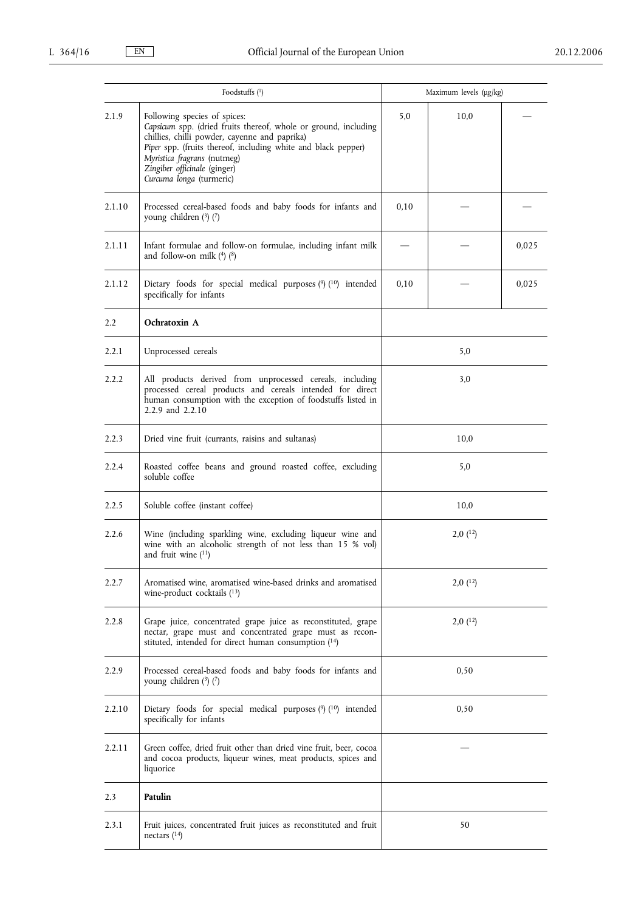|               | Foodstuffs $(^1)$                                                                                                                                                                                                                                                                                            |              | Maximum levels $(\mu g/kg)$ |       |
|---------------|--------------------------------------------------------------------------------------------------------------------------------------------------------------------------------------------------------------------------------------------------------------------------------------------------------------|--------------|-----------------------------|-------|
| 2.1.9         | Following species of spices:<br>Capsicum spp. (dried fruits thereof, whole or ground, including<br>chillies, chilli powder, cayenne and paprika)<br>Piper spp. (fruits thereof, including white and black pepper)<br>Myristica fragrans (nutmeg)<br>Zingiber officinale (ginger)<br>Curcuma longa (turmeric) | 5,0          | 10,0                        |       |
| 2.1.10        | Processed cereal-based foods and baby foods for infants and<br>young children (3) (7)                                                                                                                                                                                                                        | 0,10         |                             |       |
| 2.1.11        | Infant formulae and follow-on formulae, including infant milk<br>and follow-on milk (4) (8)                                                                                                                                                                                                                  |              |                             | 0,025 |
| 2.1.12        | Dietary foods for special medical purposes (9) (10) intended<br>specifically for infants                                                                                                                                                                                                                     | 0,10         |                             | 0,025 |
| $2.2^{\circ}$ | Ochratoxin A                                                                                                                                                                                                                                                                                                 |              |                             |       |
| 2.2.1         | Unprocessed cereals                                                                                                                                                                                                                                                                                          |              | 5,0                         |       |
| 2.2.2         | All products derived from unprocessed cereals, including<br>processed cereal products and cereals intended for direct<br>human consumption with the exception of foodstuffs listed in<br>2.2.9 and 2.2.10                                                                                                    | 3,0          |                             |       |
| 2.2.3         | Dried vine fruit (currants, raisins and sultanas)                                                                                                                                                                                                                                                            | 10,0         |                             |       |
| 2.2.4         | Roasted coffee beans and ground roasted coffee, excluding<br>soluble coffee                                                                                                                                                                                                                                  | 5,0          |                             |       |
| 2.2.5         | Soluble coffee (instant coffee)                                                                                                                                                                                                                                                                              | 10,0         |                             |       |
| 2.2.6         | Wine (including sparkling wine, excluding liqueur wine and<br>wine with an alcoholic strength of not less than 15 % vol)<br>and fruit wine $(11)$                                                                                                                                                            | $2,0$ $(12)$ |                             |       |
| 2.2.7         | Aromatised wine, aromatised wine-based drinks and aromatised<br>wine-product cocktails $(13)$                                                                                                                                                                                                                | $2,0$ $(12)$ |                             |       |
| 2.2.8         | Grape juice, concentrated grape juice as reconstituted, grape<br>nectar, grape must and concentrated grape must as recon-<br>stituted, intended for direct human consumption (14)                                                                                                                            | $2,0$ $(12)$ |                             |       |
| 2.2.9         | Processed cereal-based foods and baby foods for infants and<br>young children (3) (7)                                                                                                                                                                                                                        | 0,50         |                             |       |
| 2.2.10        | Dietary foods for special medical purposes $(9)$ $(10)$ intended<br>specifically for infants                                                                                                                                                                                                                 | 0,50         |                             |       |
| 2.2.11        | Green coffee, dried fruit other than dried vine fruit, beer, cocoa<br>and cocoa products, liqueur wines, meat products, spices and<br>liquorice                                                                                                                                                              |              |                             |       |
| 2.3           | Patulin                                                                                                                                                                                                                                                                                                      |              |                             |       |
| 2.3.1         | Fruit juices, concentrated fruit juices as reconstituted and fruit<br>nectars $(14)$                                                                                                                                                                                                                         |              | 50                          |       |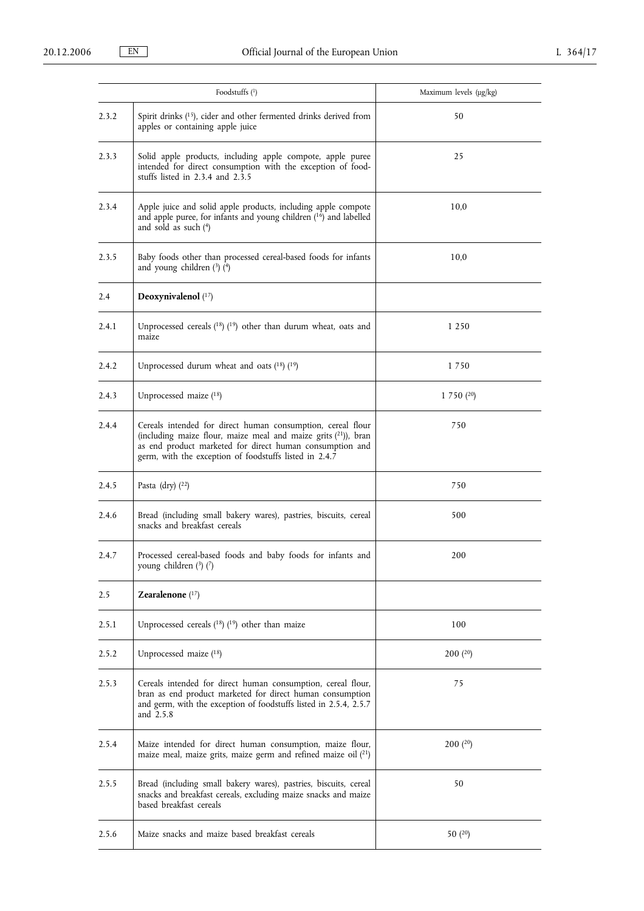|       | Foodstuffs $(1)$                                                                                                                                                                                                                                       | Maximum levels $(\mu g/kg)$ |
|-------|--------------------------------------------------------------------------------------------------------------------------------------------------------------------------------------------------------------------------------------------------------|-----------------------------|
| 2.3.2 | Spirit drinks (15), cider and other fermented drinks derived from<br>apples or containing apple juice                                                                                                                                                  | 50                          |
| 2.3.3 | Solid apple products, including apple compote, apple puree<br>intended for direct consumption with the exception of food-<br>stuffs listed in 2.3.4 and 2.3.5                                                                                          | 25                          |
| 2.3.4 | Apple juice and solid apple products, including apple compote<br>and apple puree, for infants and young children (16) and labelled<br>and sold as such $(4)$                                                                                           | 10,0                        |
| 2.3.5 | Baby foods other than processed cereal-based foods for infants<br>and young children $(3)$ $(4)$                                                                                                                                                       | 10,0                        |
| 2.4   | Deoxynivalenol $(17)$                                                                                                                                                                                                                                  |                             |
| 2.4.1 | Unprocessed cereals $(^{18})$ $(^{19})$ other than durum wheat, oats and<br>maize                                                                                                                                                                      | 1 2 5 0                     |
| 2.4.2 | Unprocessed durum wheat and oats $(18)$ $(19)$                                                                                                                                                                                                         | 1750                        |
| 2.4.3 | Unprocessed maize (18)                                                                                                                                                                                                                                 | 1750(20)                    |
| 2.4.4 | Cereals intended for direct human consumption, cereal flour<br>(including maize flour, maize meal and maize grits $(21)$ ), bran<br>as end product marketed for direct human consumption and<br>germ, with the exception of foodstuffs listed in 2.4.7 | 750                         |
| 2.4.5 | Pasta (dry) $(^{22})$                                                                                                                                                                                                                                  | 750                         |
| 2.4.6 | Bread (including small bakery wares), pastries, biscuits, cereal<br>snacks and breakfast cereals                                                                                                                                                       | 500                         |
| 2.4.7 | Processed cereal-based foods and baby foods for infants and<br>young children $(3)$ $(7)$                                                                                                                                                              | 200                         |
| 2.5   | Zearalenone $(17)$                                                                                                                                                                                                                                     |                             |
| 2.5.1 | Unprocessed cereals (18) (19) other than maize                                                                                                                                                                                                         | 100                         |
| 2.5.2 | Unprocessed maize (18)                                                                                                                                                                                                                                 | 200(20)                     |
| 2.5.3 | Cereals intended for direct human consumption, cereal flour,<br>bran as end product marketed for direct human consumption<br>and germ, with the exception of foodstuffs listed in 2.5.4, 2.5.7<br>and 2.5.8                                            | 75                          |
| 2.5.4 | Maize intended for direct human consumption, maize flour,<br>maize meal, maize grits, maize germ and refined maize oil $(21)$                                                                                                                          | 200(20)                     |
| 2.5.5 | Bread (including small bakery wares), pastries, biscuits, cereal<br>snacks and breakfast cereals, excluding maize snacks and maize<br>based breakfast cereals                                                                                          | 50                          |
| 2.5.6 | Maize snacks and maize based breakfast cereals                                                                                                                                                                                                         | 50 $(20)$                   |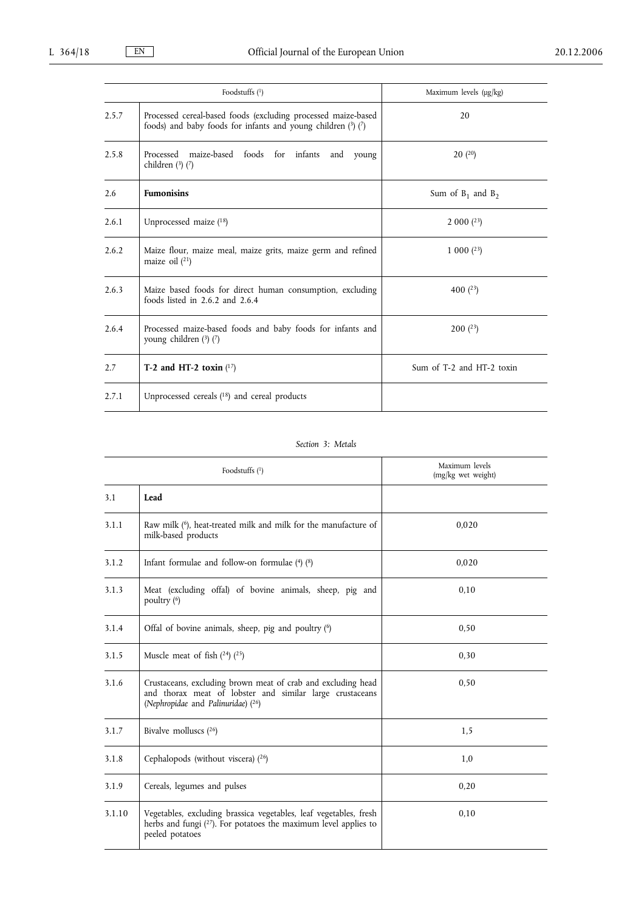|       | Foodstuffs $(1)$                                                                                                                  | Maximum levels (µg/kg)    |
|-------|-----------------------------------------------------------------------------------------------------------------------------------|---------------------------|
| 2.5.7 | Processed cereal-based foods (excluding processed maize-based<br>foods) and baby foods for infants and young children $(3)$ $(7)$ | 20                        |
| 2.5.8 | Processed maize-based foods for infants and<br>young<br>children $(3)$ $(7)$                                                      | 20(20)                    |
| 2.6   | <b>Fumonisins</b>                                                                                                                 | Sum of $B_1$ and $B_2$    |
| 2.6.1 | Unprocessed maize (18)                                                                                                            | 2000(23)                  |
| 2.6.2 | Maize flour, maize meal, maize grits, maize germ and refined<br>maize oil $(21)$                                                  | 1 000 $(23)$              |
| 2.6.3 | Maize based foods for direct human consumption, excluding<br>foods listed in $2.6.2$ and $2.6.4$                                  | 400 $(23)$                |
| 2.6.4 | Processed maize-based foods and baby foods for infants and<br>young children $(3)$ $(7)$                                          | 200(23)                   |
| 2.7   | T-2 and HT-2 toxin $(17)$                                                                                                         | Sum of T-2 and HT-2 toxin |
| 2.7.1 | Unprocessed cereals $(^{18})$ and cereal products                                                                                 |                           |

# *Section 3: Metals*

|        | Foodstuffs $(1)$                                                                                                                                               | Maximum levels<br>(mg/kg wet weight) |
|--------|----------------------------------------------------------------------------------------------------------------------------------------------------------------|--------------------------------------|
| 3.1    | Lead                                                                                                                                                           |                                      |
| 3.1.1  | Raw milk $(6)$ , heat-treated milk and milk for the manufacture of<br>milk-based products                                                                      | 0,020                                |
| 3.1.2  | Infant formulae and follow-on formulae $(4)$ $(8)$                                                                                                             | 0,020                                |
| 3.1.3  | Meat (excluding offal) of bovine animals, sheep, pig and<br>poultry $(6)$                                                                                      | 0.10                                 |
| 3.1.4  | Offal of bovine animals, sheep, pig and poultry (6)                                                                                                            | 0.50                                 |
| 3.1.5  | Muscle meat of fish $(24)$ $(25)$                                                                                                                              | 0,30                                 |
| 3.1.6  | Crustaceans, excluding brown meat of crab and excluding head<br>and thorax meat of lobster and similar large crustaceans<br>(Nephropidae and Palinuridae) (26) | 0,50                                 |
| 3.1.7  | Bivalve molluscs $(26)$                                                                                                                                        | 1,5                                  |
| 3.1.8  | Cephalopods (without viscera) $(26)$                                                                                                                           | 1,0                                  |
| 3.1.9  | Cereals, legumes and pulses                                                                                                                                    | 0,20                                 |
| 3.1.10 | Vegetables, excluding brassica vegetables, leaf vegetables, fresh<br>herbs and fungi $(27)$ . For potatoes the maximum level applies to<br>peeled potatoes     | 0.10                                 |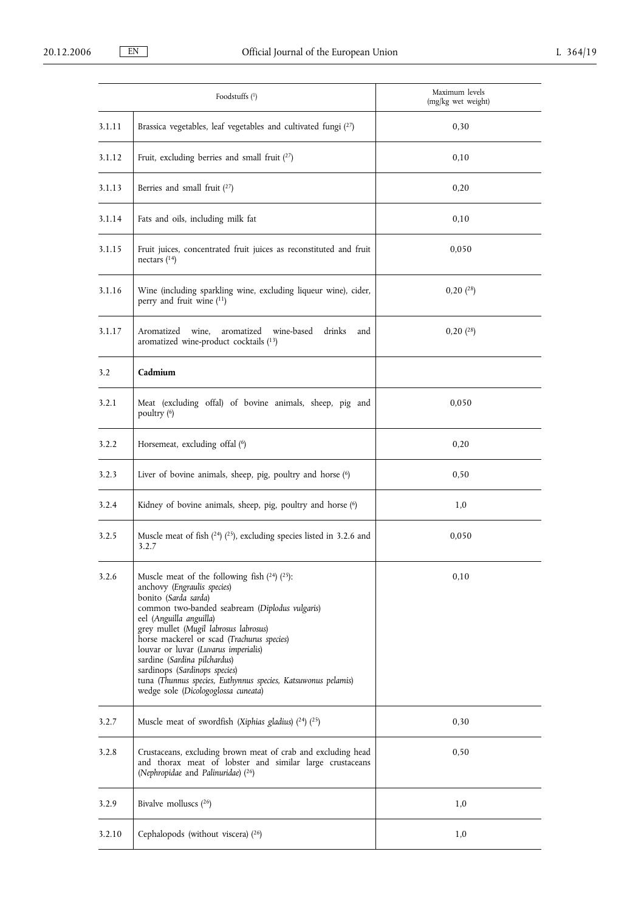|        | Foodstuffs (1)                                                                                                                                                                                                                                                                                                                                                                                                                                                                                | Maximum levels<br>(mg/kg wet weight) |
|--------|-----------------------------------------------------------------------------------------------------------------------------------------------------------------------------------------------------------------------------------------------------------------------------------------------------------------------------------------------------------------------------------------------------------------------------------------------------------------------------------------------|--------------------------------------|
| 3.1.11 | Brassica vegetables, leaf vegetables and cultivated fungi $(2^7)$                                                                                                                                                                                                                                                                                                                                                                                                                             | 0,30                                 |
| 3.1.12 | Fruit, excluding berries and small fruit $(27)$                                                                                                                                                                                                                                                                                                                                                                                                                                               | 0,10                                 |
| 3.1.13 | Berries and small fruit (27)                                                                                                                                                                                                                                                                                                                                                                                                                                                                  | 0,20                                 |
| 3.1.14 | Fats and oils, including milk fat                                                                                                                                                                                                                                                                                                                                                                                                                                                             | 0,10                                 |
| 3.1.15 | Fruit juices, concentrated fruit juices as reconstituted and fruit<br>nectars $(^{14})$                                                                                                                                                                                                                                                                                                                                                                                                       | 0,050                                |
| 3.1.16 | Wine (including sparkling wine, excluding liqueur wine), cider,<br>perry and fruit wine (11)                                                                                                                                                                                                                                                                                                                                                                                                  | 0,20(28)                             |
| 3.1.17 | wine-based<br>Aromatized wine,<br>aromatized<br>drinks<br>and<br>aromatized wine-product cocktails (13)                                                                                                                                                                                                                                                                                                                                                                                       | 0,20(28)                             |
| 3.2    | Cadmium                                                                                                                                                                                                                                                                                                                                                                                                                                                                                       |                                      |
| 3.2.1  | Meat (excluding offal) of bovine animals, sheep, pig and<br>poultry (6)                                                                                                                                                                                                                                                                                                                                                                                                                       | 0,050                                |
| 3.2.2  | Horsemeat, excluding offal (6)                                                                                                                                                                                                                                                                                                                                                                                                                                                                | 0,20                                 |
| 3.2.3  | Liver of bovine animals, sheep, pig, poultry and horse (6)                                                                                                                                                                                                                                                                                                                                                                                                                                    | 0,50                                 |
| 3.2.4  | Kidney of bovine animals, sheep, pig, poultry and horse (6)                                                                                                                                                                                                                                                                                                                                                                                                                                   | 1,0                                  |
| 3.2.5  | Muscle meat of fish $(24)$ $(25)$ , excluding species listed in 3.2.6 and<br>3.2.7                                                                                                                                                                                                                                                                                                                                                                                                            | 0,050                                |
| 3.2.6  | Muscle meat of the following fish $(24)$ $(25)$ :<br>anchovy (Engraulis species)<br>bonito (Sarda sarda)<br>common two-banded seabream (Diplodus vulgaris)<br>eel (Anguilla anguilla)<br>grey mullet (Mugil labrosus labrosus)<br>horse mackerel or scad (Trachurus species)<br>louvar or luvar (Luvarus imperialis)<br>sardine (Sardina pilchardus)<br>sardinops (Sardinops species)<br>tuna (Thunnus species, Euthynnus species, Katsuwonus pelamis)<br>wedge sole (Dicologoglossa cuneata) | 0,10                                 |
| 3.2.7  | Muscle meat of swordfish (Xiphias gladius) $(24)$ $(25)$                                                                                                                                                                                                                                                                                                                                                                                                                                      | 0,30                                 |
| 3.2.8  | Crustaceans, excluding brown meat of crab and excluding head<br>and thorax meat of lobster and similar large crustaceans<br>(Nephropidae and Palinuridae) (26)                                                                                                                                                                                                                                                                                                                                | 0,50                                 |
| 3.2.9  | Bivalve molluscs $(26)$                                                                                                                                                                                                                                                                                                                                                                                                                                                                       | 1,0                                  |
| 3.2.10 | Cephalopods (without viscera) $(26)$                                                                                                                                                                                                                                                                                                                                                                                                                                                          | 1,0                                  |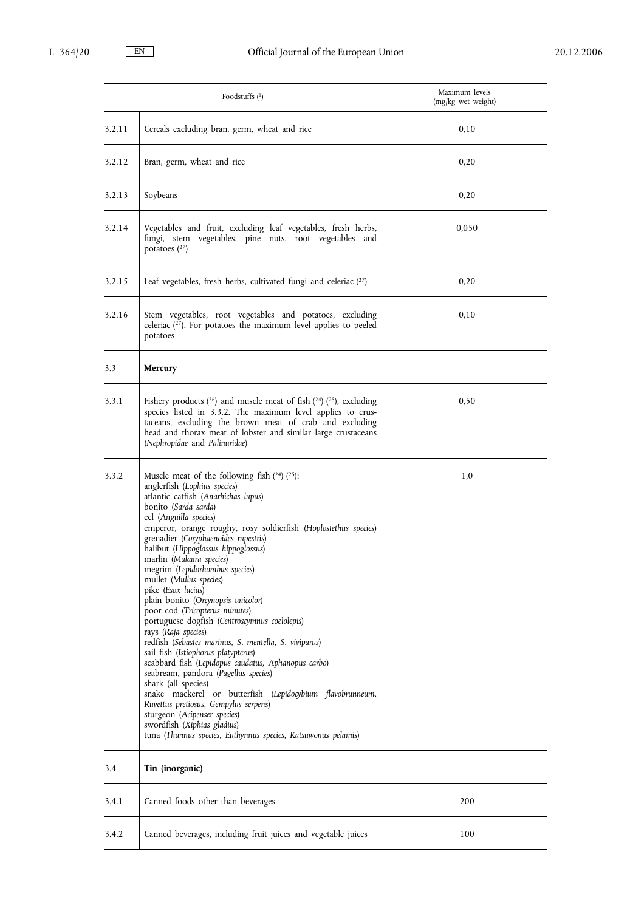|        | Foodstuffs $(1)$                                                                                                                                                                                                                                                                                                                                                                                                                                                                                                                                                                                                                                                                                                                                                                                                                                                                                                                                                                                                                                        | Maximum levels<br>(mg/kg wet weight) |
|--------|---------------------------------------------------------------------------------------------------------------------------------------------------------------------------------------------------------------------------------------------------------------------------------------------------------------------------------------------------------------------------------------------------------------------------------------------------------------------------------------------------------------------------------------------------------------------------------------------------------------------------------------------------------------------------------------------------------------------------------------------------------------------------------------------------------------------------------------------------------------------------------------------------------------------------------------------------------------------------------------------------------------------------------------------------------|--------------------------------------|
| 3.2.11 | Cereals excluding bran, germ, wheat and rice                                                                                                                                                                                                                                                                                                                                                                                                                                                                                                                                                                                                                                                                                                                                                                                                                                                                                                                                                                                                            | 0,10                                 |
| 3.2.12 | Bran, germ, wheat and rice                                                                                                                                                                                                                                                                                                                                                                                                                                                                                                                                                                                                                                                                                                                                                                                                                                                                                                                                                                                                                              | 0,20                                 |
| 3.2.13 | Soybeans                                                                                                                                                                                                                                                                                                                                                                                                                                                                                                                                                                                                                                                                                                                                                                                                                                                                                                                                                                                                                                                | 0,20                                 |
| 3.2.14 | Vegetables and fruit, excluding leaf vegetables, fresh herbs,<br>fungi, stem vegetables, pine nuts, root vegetables and<br>potatoes $(27)$                                                                                                                                                                                                                                                                                                                                                                                                                                                                                                                                                                                                                                                                                                                                                                                                                                                                                                              | 0,050                                |
| 3.2.15 | Leaf vegetables, fresh herbs, cultivated fungi and celeriac $(27)$                                                                                                                                                                                                                                                                                                                                                                                                                                                                                                                                                                                                                                                                                                                                                                                                                                                                                                                                                                                      | 0,20                                 |
| 3.2.16 | Stem vegetables, root vegetables and potatoes, excluding<br>celeriac $(2^7)$ . For potatoes the maximum level applies to peeled<br>potatoes                                                                                                                                                                                                                                                                                                                                                                                                                                                                                                                                                                                                                                                                                                                                                                                                                                                                                                             | 0,10                                 |
| 3.3    | Mercury                                                                                                                                                                                                                                                                                                                                                                                                                                                                                                                                                                                                                                                                                                                                                                                                                                                                                                                                                                                                                                                 |                                      |
| 3.3.1  | Fishery products $(26)$ and muscle meat of fish $(24)$ $(25)$ , excluding<br>species listed in 3.3.2. The maximum level applies to crus-<br>taceans, excluding the brown meat of crab and excluding<br>head and thorax meat of lobster and similar large crustaceans<br>(Nephropidae and Palinuridae)                                                                                                                                                                                                                                                                                                                                                                                                                                                                                                                                                                                                                                                                                                                                                   | 0,50                                 |
| 3.3.2  | Muscle meat of the following fish $(24)$ $(25)$ :<br>anglerfish (Lophius species)<br>atlantic catfish (Anarhichas lupus)<br>bonito (Sarda sarda)<br>eel (Anguilla species)<br>emperor, orange roughy, rosy soldierfish (Hoplostethus species)<br>grenadier (Coryphaenoides rupestris)<br>halibut (Hippoglossus hippoglossus)<br>marlin (Makaira species)<br>megrim (Lepidorhombus species)<br>mullet (Mullus species)<br>pike (Esox lucius)<br>plain bonito (Orcynopsis unicolor)<br>poor cod (Tricopterus minutes)<br>portuguese dogfish (Centroscymnus coelolepis)<br>rays (Raja species)<br>redfish (Sebastes marinus, S. mentella, S. viviparus)<br>sail fish (Istiophorus platypterus)<br>scabbard fish (Lepidopus caudatus, Aphanopus carbo)<br>seabream, pandora (Pagellus species)<br>shark (all species)<br>snake mackerel or butterfish (Lepidocybium flavobrunneum,<br>Ruvettus pretiosus, Gempylus serpens)<br>sturgeon (Acipenser species)<br>swordfish (Xiphias gladius)<br>tuna (Thunnus species, Euthynnus species, Katsuwonus pelamis) | 1,0                                  |
| 3.4    | Tin (inorganic)                                                                                                                                                                                                                                                                                                                                                                                                                                                                                                                                                                                                                                                                                                                                                                                                                                                                                                                                                                                                                                         |                                      |
| 3.4.1  | Canned foods other than beverages                                                                                                                                                                                                                                                                                                                                                                                                                                                                                                                                                                                                                                                                                                                                                                                                                                                                                                                                                                                                                       | 200                                  |
| 3.4.2  | Canned beverages, including fruit juices and vegetable juices                                                                                                                                                                                                                                                                                                                                                                                                                                                                                                                                                                                                                                                                                                                                                                                                                                                                                                                                                                                           | 100                                  |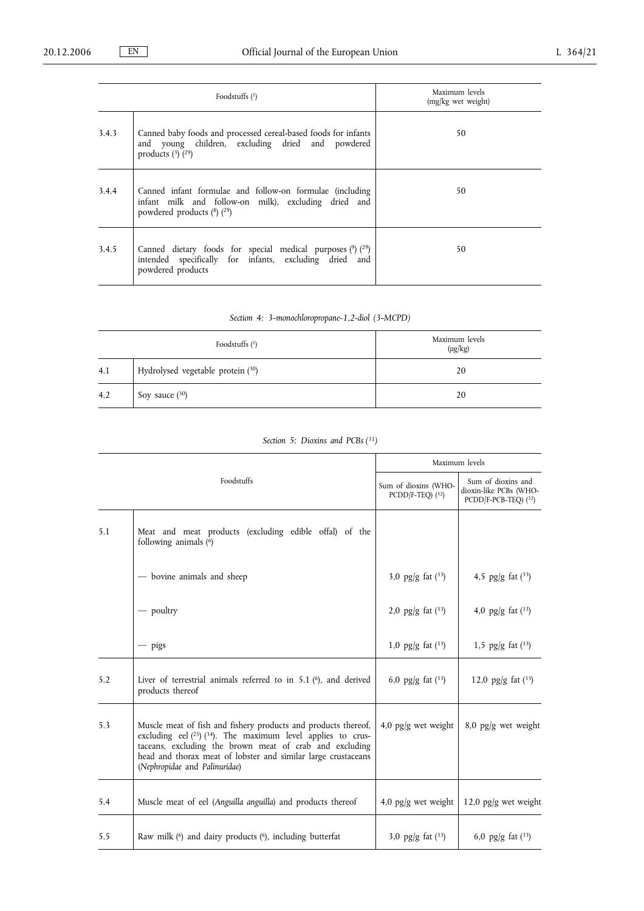|       | Foodstuffs $(1)$                                                                                                                                   | Maximum levels<br>(mg/kg wet weight) |
|-------|----------------------------------------------------------------------------------------------------------------------------------------------------|--------------------------------------|
| 3.4.3 | Canned baby foods and processed cereal-based foods for infants<br>and young children, excluding dried and powdered<br>products $(3)$ $(29)$        | 50                                   |
| 3.4.4 | Canned infant formulae and follow-on formulae (including<br>infant milk and follow-on milk), excluding dried and<br>powdered products $(8)$ $(29)$ | 50                                   |
| 3.4.5 | Canned dietary foods for special medical purposes $(9)(29)$<br>intended specifically for infants, excluding dried and<br>powdered products         | 50                                   |

|  |  | Section 4: 3-monochloropropane-1,2-diol (3-MCPD) |  |
|--|--|--------------------------------------------------|--|
|--|--|--------------------------------------------------|--|

|     | Foodstuffs $(1)$                  | Maximum levels<br>$(\mu g/kg)$ |
|-----|-----------------------------------|--------------------------------|
| 4.1 | Hydrolysed vegetable protein (30) | 20                             |
| 4.2 | Soy sauce $(30)$                  | 20                             |

|  |  | Section 5: Dioxins and PCBs (31) |  |  |  |
|--|--|----------------------------------|--|--|--|
|--|--|----------------------------------|--|--|--|

| Foodstuffs |                                                                                                                                                                                                                                                                                                       | Maximum levels                              |                                                                      |
|------------|-------------------------------------------------------------------------------------------------------------------------------------------------------------------------------------------------------------------------------------------------------------------------------------------------------|---------------------------------------------|----------------------------------------------------------------------|
|            |                                                                                                                                                                                                                                                                                                       | Sum of dioxins (WHO-<br>$PCDD/F-TEQ$ ) (32) | Sum of dioxins and<br>dioxin-like PCBs (WHO-<br>PCDD/F-PCB-TEQ) (32) |
| 5.1        | Meat and meat products (excluding edible offal) of the<br>following animals (6)                                                                                                                                                                                                                       |                                             |                                                                      |
|            | - bovine animals and sheep                                                                                                                                                                                                                                                                            | 3,0 pg/g fat $(3^3)$                        | 4,5 pg/g fat $(3^3)$                                                 |
|            | $-$ poultry                                                                                                                                                                                                                                                                                           | 2,0 pg/g fat $(3^3)$                        | 4,0 pg/g fat $(33)$                                                  |
|            | $-$ pigs                                                                                                                                                                                                                                                                                              | 1,0 pg/g fat $(33)$                         | 1,5 pg/g fat $(33)$                                                  |
| 5.2        | Liver of terrestrial animals referred to in $5.1$ ( $6$ ), and derived<br>products thereof                                                                                                                                                                                                            | 6,0 pg/g fat $(33)$                         | 12,0 pg/g fat $(33)$                                                 |
| 5.3        | Muscle meat of fish and fishery products and products thereof,<br>excluding eel $(^{25})$ $(^{34})$ . The maximum level applies to crus-<br>taceans, excluding the brown meat of crab and excluding<br>head and thorax meat of lobster and similar large crustaceans<br>(Nephropidae and Palinuridae) | 4,0 $pg/g$ wet weight                       | 8,0 pg/g wet weight                                                  |
| 5.4        | Muscle meat of eel (Anguilla anguilla) and products thereof                                                                                                                                                                                                                                           | 4,0 pg/g wet weight                         | 12,0 pg/g wet weight                                                 |
| 5.5        | Raw milk (6) and dairy products (6), including butterfat                                                                                                                                                                                                                                              | 3,0 pg/g fat $(3^3)$                        | 6,0 pg/g fat $(3^3)$                                                 |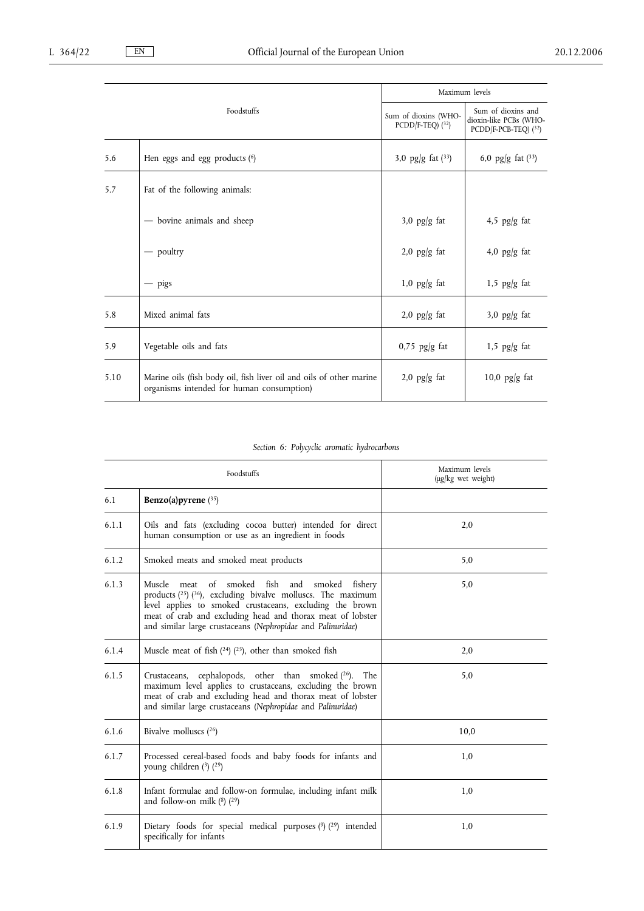|            |                                                                                                                  | Maximum levels                              |                                                                      |
|------------|------------------------------------------------------------------------------------------------------------------|---------------------------------------------|----------------------------------------------------------------------|
| Foodstuffs |                                                                                                                  | Sum of dioxins (WHO-<br>$PCDD/F-TEQ$ ) (32) | Sum of dioxins and<br>dioxin-like PCBs (WHO-<br>PCDD/F-PCB-TEQ) (32) |
| 5.6        | Hen eggs and egg products $(6)$                                                                                  | 3,0 pg/g fat $(3^3)$                        | 6,0 pg/g fat $(3^3)$                                                 |
| 5.7        | Fat of the following animals:                                                                                    |                                             |                                                                      |
|            | - bovine animals and sheep                                                                                       | $3,0$ pg/g fat                              | 4,5 $pg/g$ fat                                                       |
|            | - poultry                                                                                                        | $2,0$ pg/g fat                              | 4,0 $pg/g$ fat                                                       |
|            | $-$ pigs                                                                                                         | $1,0$ pg/g fat                              | $1,5$ pg/g fat                                                       |
| 5.8        | Mixed animal fats                                                                                                | $2,0$ pg/g fat                              | $3,0$ pg/g fat                                                       |
| 5.9        | Vegetable oils and fats                                                                                          | $0.75$ pg/g fat                             | $1,5$ pg/g fat                                                       |
| 5.10       | Marine oils (fish body oil, fish liver oil and oils of other marine<br>organisms intended for human consumption) | $2,0$ pg/g fat                              | 10,0 $pg/g$ fat                                                      |

# *Section 6: Polycyclic aromatic hydrocarbons*

| Foodstuffs |                                                                                                                                                                                                                                                                                                                           | Maximum levels<br>(µg/kg wet weight) |  |
|------------|---------------------------------------------------------------------------------------------------------------------------------------------------------------------------------------------------------------------------------------------------------------------------------------------------------------------------|--------------------------------------|--|
| 6.1        | Benzo(a) pyrene $(35)$                                                                                                                                                                                                                                                                                                    |                                      |  |
| 6.1.1      | Oils and fats (excluding cocoa butter) intended for direct<br>human consumption or use as an ingredient in foods                                                                                                                                                                                                          | 2.0                                  |  |
| 6.1.2      | Smoked meats and smoked meat products                                                                                                                                                                                                                                                                                     | 5,0                                  |  |
| 6.1.3      | smoked fish and smoked fishery<br>Muscle<br>of<br>meat<br>products $(^{25})$ $(^{36})$ , excluding bivalve molluscs. The maximum<br>level applies to smoked crustaceans, excluding the brown<br>meat of crab and excluding head and thorax meat of lobster<br>and similar large crustaceans (Nephropidae and Palinuridae) | 5,0                                  |  |
| 6.1.4      | Muscle meat of fish $(24)$ $(25)$ , other than smoked fish                                                                                                                                                                                                                                                                | 2.0                                  |  |
| 6.1.5      | cephalopods, other than smoked $(26)$ . The<br>Crustaceans,<br>maximum level applies to crustaceans, excluding the brown<br>meat of crab and excluding head and thorax meat of lobster<br>and similar large crustaceans (Nephropidae and Palinuridae)                                                                     | 5,0                                  |  |
| 6.1.6      | Bivalve molluscs $(26)$                                                                                                                                                                                                                                                                                                   | 10,0                                 |  |
| 6.1.7      | Processed cereal-based foods and baby foods for infants and<br>young children $(3)$ $(29)$                                                                                                                                                                                                                                | 1,0                                  |  |
| 6.1.8      | Infant formulae and follow-on formulae, including infant milk<br>and follow-on milk $(^{8})$ $(^{29})$                                                                                                                                                                                                                    | 1,0                                  |  |
| 6.1.9      | Dietary foods for special medical purposes $(2)$ ( $(29)$ ) intended<br>specifically for infants                                                                                                                                                                                                                          | 1,0                                  |  |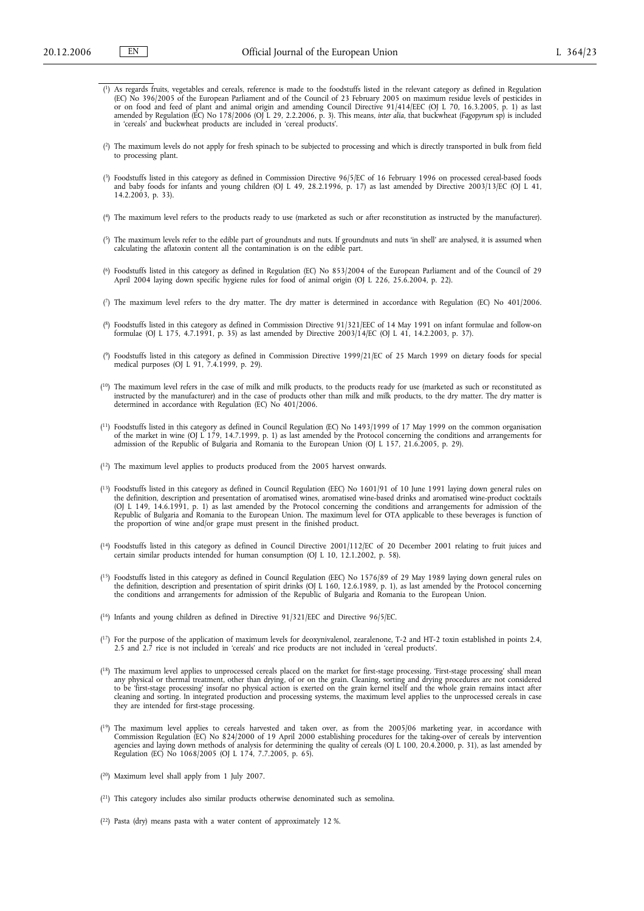- (<sup>1</sup>) As regards fruits, vegetables and cereals, reference is made to the foodstuffs listed in the relevant category as defined in Regulation (EC) No 396/2005 of the European Parliament and of the Council of 23 February 2
- ( 2) The maximum levels do not apply for fresh spinach to be subjected to processing and which is directly transported in bulk from field to processing plant.
- ( 3) Foodstuffs listed in this category as defined in Commission Directive 96/5/EC of 16 February 1996 on processed cereal-based foods and baby foods for infants and young children (OJ L 49, 28.2.1996, p. 17) as last amended by Directive 2003/13/EC (OJ L 41, 14.2.2003, p. 33).
- ( 4) The maximum level refers to the products ready to use (marketed as such or after reconstitution as instructed by the manufacturer).
- ( 5) The maximum levels refer to the edible part of groundnuts and nuts. If groundnuts and nuts 'in shell' are analysed, it is assumed when calculating the aflatoxin content all the contamination is on the edible part.
- (\*) Foodstuffs listed in this category as defined in Regulation (EC) No 853/2004 of the European Parliament and of the Council of 29<br>April 2004 laying down specific hygiene rules for food of animal origin (OJ L 226, 25.6.2
- ( 7) The maximum level refers to the dry matter. The dry matter is determined in accordance with Regulation (EC) No 401/2006.
- ( 8) Foodstuffs listed in this category as defined in Commission Directive 91/321/EEC of 14 May 1991 on infant formulae and follow-on formulae (OJ L 175, 4.7.1991, p. 35) as last amended by Directive 2003/14/EC (OJ L 41, 14.2.2003, p. 37).
- ( 9) Foodstuffs listed in this category as defined in Commission Directive 1999/21/EC of 25 March 1999 on dietary foods for special medical purposes (OJ L 91, 7.4.1999, p. 29).
- (<sup>10</sup>) The maximum level refers in the case of milk and milk products, to the products ready for use (marketed as such or reconstituted as instructed by the manufacturer) and in the case of products other than milk and milk products, to the dry matter. The dry matter is determined in accordance with Regulation (EC) No 401/2006.
- $^{(11)}$  Foodstuffs listed in this category as defined in Council Regulation (EC) No 1493/1999 of 17 May 1999 on the common organisation of the market in wine (OJ L 179, 14.7.1999, p. 1) as last amended by the Protocol con admission of the Republic of Bulgaria and Romania to the European Union (OJ L 157, 21.6.2005, p. 29).
- ( 12) The maximum level applies to products produced from the 2005 harvest onwards.
- ( 13) Foodstuffs listed in this category as defined in Council Regulation (EEC) No 1601/91 of 10 June 1991 laying down general rules on the definition, description and presentation of aromatised wines, aromatised wine-based drinks and aromatised wine-product cocktails (OJ L 149, 14.6.1991, p. 1) as last amended by the Protocol concerning the conditions and arrangements for admission of the<br>Republic of Bulgaria and Romania to the European Union. The maximum level for OTA applicable to th the proportion of wine and/or grape must present in the finished product.
- ( 14) Foodstuffs listed in this category as defined in Council Directive 2001/112/EC of 20 December 2001 relating to fruit juices and certain similar products intended for human consumption (OJ L 10, 12.1.2002, p. 58).
- ( 15) Foodstuffs listed in this category as defined in Council Regulation (EEC) No 1576/89 of 29 May 1989 laying down general rules on the definition, description and presentation of spirit drinks (OJ L 160, 12.6.1989, p. 1), as last amended by the Protocol concerning the conditions and arrangements for admission of the Republic of Bulgaria and Romania to the European Union.
- ( 16) Infants and young children as defined in Directive 91/321/EEC and Directive 96/5/EC.
- $(1^7)$  For the purpose of the application of maximum levels for deoxynivalenol, zearalenone, T-2 and HT-2 toxin established in points 2.4, 2.5 and 2.7 rice is not included in 'cereals' and rice products are not included in 'cereal products'.
- <sup>(18)</sup> The maximum level applies to unprocessed cereals placed on the market for first-stage processing. 'First-stage processing' shall mean any physical or thermal treatment, other than drying, of or on the grain. Cleaning, sorting and drying procedures are not considered to be 'first-stage processing' insofar no physical action is exerted on the grain kernel itself and the whole grain remains intact after<br>cleaning and sorting. In integrated production and processing systems, the maximum le
- <sup>(19</sup>) The maximum level applies to cereals harvested and taken over, as from the  $2005/06$  marketing year, in accordance with Commission Regulation (EC) No  $824/2000$  of 19 April 2000 establishing procedures for the taki
- ( 20) Maximum level shall apply from 1 July 2007.
- ( 21) This category includes also similar products otherwise denominated such as semolina.
- ( 22) Pasta (dry) means pasta with a water content of approximately 12 %.